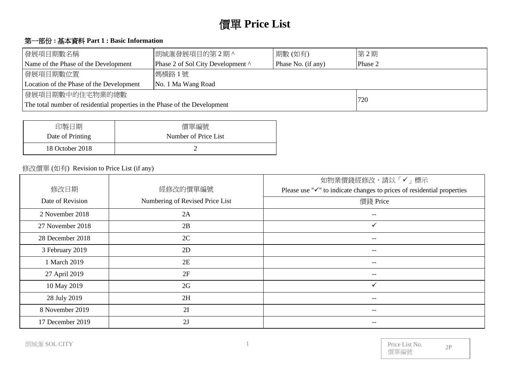# 價單 **Price List**

## 第一部份 **:** 基本資料 **Part 1 : Basic Information**

| 發展項目期數名稱                                                                   | 朗城滙發展項目的第2期^ | 第2期 |
|----------------------------------------------------------------------------|--------------|-----|
| Phase 2 of Sol City Development ^<br>Name of the Phase of the Development  | Phase 2      |     |
| 發展項目期數位置                                                                   |              |     |
| Location of the Phase of the Development<br>No. 1 Ma Wang Road             |              |     |
| 發展項目期數中的住宅物業的總數                                                            |              | 720 |
| The total number of residential properties in the Phase of the Development |              |     |

| 印製日期             | 價單編號                 |
|------------------|----------------------|
| Date of Printing | Number of Price List |
| 18 October 2018  |                      |

#### 修改價單 (如有) Revision to Price List (if any)

|                  |                                 | 如物業價錢經修改,請以「✔」標示                                                                    |
|------------------|---------------------------------|-------------------------------------------------------------------------------------|
| 修改日期             | 經修改的價單編號                        | Please use " $\checkmark$ " to indicate changes to prices of residential properties |
| Date of Revision | Numbering of Revised Price List | 價錢 Price                                                                            |
| 2 November 2018  | 2A                              | $- -$                                                                               |
| 27 November 2018 | 2B                              | $\checkmark$                                                                        |
| 28 December 2018 | 2C                              | $\hspace{0.05cm} - \hspace{0.05cm} - \hspace{0.05cm}$                               |
| 3 February 2019  | 2D                              |                                                                                     |
| 1 March 2019     | 2E                              |                                                                                     |
| 27 April 2019    | 2F                              | --                                                                                  |
| 10 May 2019      | 2G                              | ✓                                                                                   |
| 28 July 2019     | 2H                              | --                                                                                  |
| 8 November 2019  | 2I                              | --                                                                                  |
| 17 December 2019 | 2J                              |                                                                                     |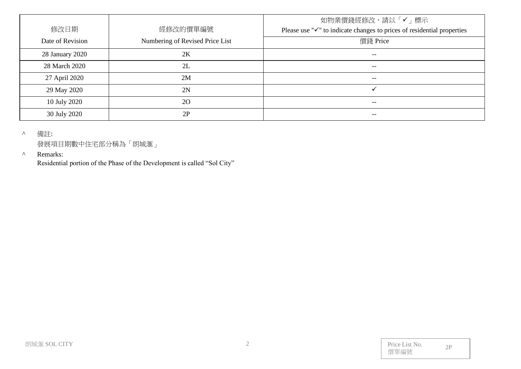| 修改日期<br>Date of Revision | 經修改的價單編號<br>Numbering of Revised Price List | 如物業價錢經修改,請以「✔」標示<br>Please use " $\checkmark$ " to indicate changes to prices of residential properties<br>價錢 Price |
|--------------------------|---------------------------------------------|---------------------------------------------------------------------------------------------------------------------|
| 28 January 2020          | 2K                                          | $- -$                                                                                                               |
| 28 March 2020            | 2L                                          | $- -$                                                                                                               |
| 27 April 2020            | 2M                                          | $\hspace{0.05cm}$ – $\hspace{0.05cm}$                                                                               |
| 29 May 2020              | 2N                                          |                                                                                                                     |
| 10 July 2020             | <b>20</b>                                   | $- -$                                                                                                               |
| 30 July 2020             | 2P                                          | $- -$                                                                                                               |

^ 備註:

發展項目期數中住宅部分稱為「朗城滙」

#### ^ Remarks:

Residential portion of the Phase of the Development is called "Sol City"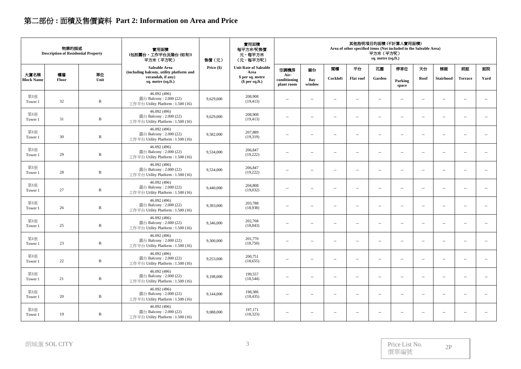# 第二部份 **:** 面積及售價資料 **Part 2: Information on Area and Price**

|                           | 物業的描述<br><b>Description of Residential Property</b> |              | 實用面積<br>(包括露台,工作平台及陽台(如有))<br>平方米 (平方呎)                                      | 售價(元)      | 實用面積<br>每平方米/呎售價<br>元,每平方米<br>(元,每平方呎) | 其他指明項目的面積 (不計算入實用面積)<br>Area of other specified items (Not included in the Saleable Area)<br>平方米 (平方呎)<br>sq. metre (sq.ft.) |                          |                          |                          |                          |                          |                          |                          |                            |                          |  |
|---------------------------|-----------------------------------------------------|--------------|------------------------------------------------------------------------------|------------|----------------------------------------|------------------------------------------------------------------------------------------------------------------------------|--------------------------|--------------------------|--------------------------|--------------------------|--------------------------|--------------------------|--------------------------|----------------------------|--------------------------|--|
|                           |                                                     |              | Saleable Area<br>(including balcony, utility platform and                    | Price (\$) | <b>Unit Rate of Saleable</b><br>Area   | 空調機房                                                                                                                         | 窗台                       | 閣樓                       | 平台                       | 花園                       | 停車位                      | 天台                       | 梯屋                       | 前庭                         | 庭院                       |  |
| 大廈名稱<br><b>Block Name</b> | 樓層<br>Floor                                         | 單位<br>Unit   | verandah, if any)<br>sq. metre (sq.ft.)                                      |            | \$ per sq. metre<br>\$per sq.ft.)      | Air-<br>conditioning<br>plant room                                                                                           | Bay<br>window            | Cockloft                 | <b>Flat</b> roof         | Garden                   | Parking<br>space         | Roof                     | <b>Stairhood</b>         | <b>Terrace</b>             | Yard                     |  |
| 第1座<br>Tower 1            | 32                                                  | $\, {\bf B}$ | 46.092 (496)<br>露台 Balcony: 2.000 (22)<br>工作平台 Utility Platform: 1.500 (16)  | 9,629,000  | 208,908<br>(19, 413)                   | $\sim$                                                                                                                       | $\overline{\phantom{a}}$ | $\sim$                   | $\sim$                   | $\sim$                   | $\sim$                   | $\overline{\phantom{a}}$ | $\sim$                   | $\overline{\phantom{a}}$   | $\sim$                   |  |
| 第1座<br>Tower 1            | 31                                                  | $\, {\bf B}$ | 46.092 (496)<br>露台 Balcony: 2.000 (22)<br>工作平台 Utility Platform: 1.500 (16)  | 9,629,000  | 208,908<br>(19, 413)                   | $\sim$                                                                                                                       | $\sim$                   | $\sim$                   | $\sim$                   | $\sim$                   | $\sim$                   | $\sim$                   | $\sim$                   | $\sim$ $\sim$              | $\sim$                   |  |
| 第1座<br>Tower 1            | 30                                                  | $\, {\bf B}$ | 46.092 (496)<br>露台 Balcony: 2.000 (22)<br>工作平台 Utility Platform: 1.500 (16)  | 9,582,000  | 207,889<br>(19,319)                    | $\sim$                                                                                                                       | $\sim$                   | $\overline{\phantom{a}}$ | $\sim$                   | $\sim$                   | $\sim$                   | $\sim$                   | $\overline{\phantom{a}}$ | $\overline{\phantom{a}}$ . | $\ldots$                 |  |
| 第1座<br>Tower 1            | 29                                                  | B            | 46.092 (496)<br>露台 Balcony: 2.000 (22)<br>工作平台 Utility Platform: 1.500 (16)  | 9,534,000  | 206,847<br>(19,222)                    | $\overline{\phantom{a}}$                                                                                                     | $\overline{\phantom{a}}$ | $\sim$                   | $\sim$                   | $\sim$                   | $\overline{\phantom{a}}$ | $\overline{\phantom{a}}$ | $\sim$                   | $\overline{\phantom{a}}$   | $\overline{\phantom{a}}$ |  |
| 第1座<br>Tower 1            | 28                                                  | $\, {\bf B}$ | 46.092 (496)<br>露台 Balcony: 2.000 (22)<br>工作平台 Utility Platform: 1.500 (16)  | 9,534,000  | 206,847<br>(19,222)                    | $\overline{\phantom{a}}$                                                                                                     | $\sim$                   | $\sim$                   | $\sim$                   | $\sim$                   | $\overline{\phantom{a}}$ | $\overline{\phantom{a}}$ | $\sim$                   | $\overline{\phantom{a}}$   | $\sim$                   |  |
| 第1座<br>Tower 1            | 27                                                  | $\, {\bf B}$ | 46.092 (496)<br>露台 Balcony: 2.000 (22)<br>工作平台 Utility Platform: 1.500 (16)  | 9,440,000  | 204,808<br>(19,032)                    | $\sim$                                                                                                                       | $\sim$                   | $\overline{\phantom{a}}$ | $\overline{\phantom{a}}$ | $\sim$                   | $\overline{\phantom{a}}$ | $\sim$                   | $\overline{\phantom{a}}$ | $\overline{\phantom{a}}$   | $\ldots$                 |  |
| 第1座<br>Tower 1            | 26                                                  | $\, {\bf B}$ | 46.092 (496)<br>露台 Balcony: 2.000 (22)<br>工作平台 Utility Platform: 1.500 (16)  | 9,393,000  | 203,788<br>(18,938)                    | $\sim$                                                                                                                       | $\sim$                   | $\sim$                   | $\sim$                   | $\overline{\phantom{a}}$ | $\sim$                   | $\sim$                   | $\overline{\phantom{a}}$ | $\overline{\phantom{a}}$   | $\overline{\phantom{a}}$ |  |
| 第1座<br>Tower 1            | 25                                                  | $\, {\bf B}$ | 46.092 (496)<br>露台 Balcony: 2.000 (22)<br>工作平台 Utility Platform : 1.500 (16) | 9,346,000  | 202,768<br>(18, 843)                   | $\overline{\phantom{a}}$                                                                                                     | $\overline{\phantom{a}}$ | $\overline{\phantom{a}}$ | $\sim$                   | $\ddot{\phantom{a}}$     | $\overline{\phantom{a}}$ | $\overline{\phantom{a}}$ | ÷.                       | $\overline{\phantom{a}}$   | $\ddot{\phantom{a}}$     |  |
| 第1座<br>Tower 1            | 23                                                  | $\, {\bf B}$ | 46.092 (496)<br>露台 Balcony: 2.000 (22)<br>工作平台 Utility Platform: 1.500 (16)  | 9,300,000  | 201,770<br>(18,750)                    | $\sim$                                                                                                                       | $\sim$                   | $\sim$                   | $\sim$                   | $\overline{\phantom{a}}$ | $\sim$                   | $\sim$                   | $\overline{\phantom{a}}$ | $\sim$ $\sim$              | $\overline{\phantom{a}}$ |  |
| 第1座<br>Tower 1            | $22\,$                                              | $\, {\bf B}$ | 46.092 (496)<br>露台 Balcony: 2.000 (22)<br>工作平台 Utility Platform : 1.500 (16) | 9,253,000  | 200,751<br>(18, 655)                   | $\overline{\phantom{a}}$                                                                                                     | $\sim$                   | $\sim$                   | $\sim$                   | $\sim$                   | $\overline{\phantom{a}}$ | $\overline{\phantom{a}}$ | $\overline{\phantom{a}}$ | $\overline{\phantom{a}}$   | $\overline{\phantom{a}}$ |  |
| 第1座<br>Tower 1            | 21                                                  | $\, {\bf B}$ | 46.092 (496)<br>露台 Balcony: 2.000 (22)<br>工作平台 Utility Platform: 1.500 (16)  | 9,198,000  | 199,557<br>(18, 544)                   | $\sim$                                                                                                                       | $\sim$                   | $\sim$                   | $\sim$                   | $\sim$                   | $\sim$                   | $\sim$                   | $\sim$                   | $\sim$ $\sim$              | $\sim$                   |  |
| 第1座<br>Tower 1            | 20                                                  | $\, {\bf B}$ | 46.092 (496)<br>露台 Balcony: 2.000 (22)<br>工作平台 Utility Platform : 1.500 (16) | 9,144,000  | 198,386<br>(18, 435)                   | $\overline{\phantom{a}}$                                                                                                     | $\overline{\phantom{a}}$ | $\sim$                   | $\sim$                   | $\overline{\phantom{a}}$ | $\overline{\phantom{a}}$ | $\overline{\phantom{a}}$ | $\sim$                   | $\overline{\phantom{a}}$   | $\overline{\phantom{a}}$ |  |
| 第1座<br>Tower 1            | 19                                                  | $\, {\bf B}$ | 46.092 (496)<br>露台 Balcony: 2.000 (22)<br>工作平台 Utility Platform: 1.500 (16)  | 9,088,000  | 197,171<br>(18, 323)                   | $\sim$                                                                                                                       | $\sim$                   | $\overline{\phantom{a}}$ | $\sim$                   | $\sim$                   | $\sim$                   | $\sim$                   | $\overline{\phantom{a}}$ | $\sim$ $\sim$              | $\sim$                   |  |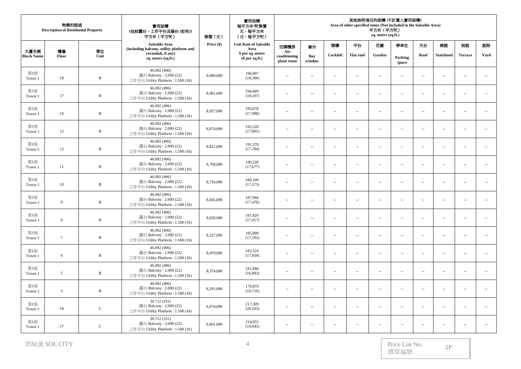|                           | 物業的描述<br><b>Description of Residential Property</b> |              | 實用面積<br>(包括露台,工作平台及陽台(如有))<br>平方米 (平方呎)                                      | 實用面積<br>每平方米/呎售價<br>元,每平方米<br>(元,每平方呎)<br>售價(元) |                                      |                                    | 其他指明項目的面積 (不計算入實用面積)<br>Area of other specified items (Not included in the Saleable Area)<br>平方米 (平方呎)<br>sq. metre (sq.ft.) |                          |                          |                          |                          |                          |                          |                          |                             |  |
|---------------------------|-----------------------------------------------------|--------------|------------------------------------------------------------------------------|-------------------------------------------------|--------------------------------------|------------------------------------|------------------------------------------------------------------------------------------------------------------------------|--------------------------|--------------------------|--------------------------|--------------------------|--------------------------|--------------------------|--------------------------|-----------------------------|--|
|                           |                                                     |              | Saleable Area<br>(including balcony, utility platform and                    | Price (\$)                                      | <b>Unit Rate of Saleable</b><br>Area | 空調機房                               | 窗台                                                                                                                           | 閣樓                       | 平台                       | 花園                       | 停車位                      | 天台                       | 梯屋                       | 前庭                       | 庭院                          |  |
| 大廈名稱<br><b>Block Name</b> | 樓層<br>Floor                                         | 單位<br>Unit   | verandah, if any)<br>sq. metre (sq.ft.)                                      |                                                 | \$ per sq. metre<br>$$$ per sq.ft.)  | Air-<br>conditioning<br>plant room | Bay<br>window                                                                                                                | Cockloft                 | <b>Flat roof</b>         | Garden                   | Parking<br>space         | Roof                     | <b>Stairhood</b>         | <b>Terrace</b>           | Yard                        |  |
| 第1座<br>Tower 1            | 18                                                  | $\, {\bf B}$ | 46.092 (496)<br>露台 Balcony: 2.000 (22)<br>工作平台 Utility Platform: 1.500 (16)  | 9,080,000                                       | 196,997<br>(18,306)                  | $\overline{a}$                     | $\sim$                                                                                                                       | $\overline{a}$           | $\sim$                   | $\overline{\phantom{a}}$ | $\overline{a}$           | $\sim$                   | $\sim$                   | $\sim$                   | $\sim$                      |  |
| 第1座<br>Tower 1            | 17                                                  | $\, {\bf B}$ | 46.092 (496)<br>露台 Balcony: 2.000 (22)<br>工作平台 Utility Platform: 1.500 (16)  | 8,981,000                                       | 194,849<br>(18, 107)                 | $\overline{\phantom{a}}$           | $\overline{\phantom{a}}$                                                                                                     | $\overline{\phantom{a}}$ | $\overline{\phantom{a}}$ | $\overline{\phantom{a}}$ | $\overline{\phantom{a}}$ | $\sim$                   | $\sim$                   | $\sim$                   | $\overline{\phantom{a}}$    |  |
| 第1座<br>Tower 1            | 16                                                  | $\, {\bf B}$ | 46.092 (496)<br>露台 Balcony: 2.000 (22)<br>工作平台 Utility Platform: 1.500 (16)  | 8,927,000                                       | 193,678<br>(17,998)                  | $\overline{\phantom{a}}$           | $\overline{\phantom{a}}$                                                                                                     | $\overline{a}$           | $\overline{\phantom{a}}$ | $\overline{\phantom{a}}$ | $\overline{\phantom{a}}$ | $\overline{\phantom{a}}$ | $\ldots$                 | $\ldots$                 | ÷.                          |  |
| 第1座<br>Tower 1            | 15                                                  | $\, {\bf B}$ | 46.092 (496)<br>露台 Balcony: 2.000 (22)<br>工作平台 Utility Platform: 1.500 (16)  | 8,874,000                                       | 192,528<br>(17, 891)                 | $\cdots$                           | $\overline{\phantom{a}}$                                                                                                     | $\sim$                   | $\overline{\phantom{a}}$ | $\sim$                   | $\overline{\phantom{a}}$ | $\sim$                   | $\sim$                   | $\sim$                   | $\sim$                      |  |
| 第1座<br>Tower 1            | 12                                                  | $\, {\bf B}$ | 46.092 (496)<br>露台 Balcony: 2.000 (22)<br>工作平台 Utility Platform: 1.500 (16)  | 8,821,000                                       | 191,378<br>(17, 784)                 | $\overline{\phantom{a}}$           | $\sim$                                                                                                                       | $\overline{a}$           | $\sim$                   | $\sim$                   | $\overline{a}$           | $\sim$                   | $\sim$                   | $\sim$ $\sim$            | $\sim$                      |  |
| 第1座<br>Tower 1            | 11                                                  | B            | 46.092 (496)<br>露台 Balcony: 2.000 (22)<br>工作平台 Utility Platform: 1.500 (16)  | 8,768,000                                       | 190,228<br>(17,677)                  | $\overline{\phantom{a}}$           | $\sim$                                                                                                                       | $\sim$                   | $\overline{\phantom{a}}$ | $\overline{\phantom{a}}$ | $\overline{\phantom{a}}$ | $\overline{\phantom{a}}$ | $\overline{\phantom{a}}$ | $\overline{\phantom{a}}$ | $\overline{\phantom{a}}$    |  |
| 第1座<br>Tower 1            | 10                                                  | $\, {\bf B}$ | 46.092 (496)<br>露台 Balcony: 2.000 (22)<br>工作平台 Utility Platform: 1.500 (16)  | 8,716,000                                       | 189,100<br>(17,573)                  | $\overline{\phantom{a}}$           | ÷.                                                                                                                           | $\overline{a}$           | $\overline{a}$           | $\overline{\phantom{a}}$ | $\overline{\phantom{a}}$ | $\overline{\phantom{a}}$ | $\ldots$                 | $\sim$                   | $\mathcal{L}_{\mathcal{A}}$ |  |
| 第1座<br>Tower 1            | 9                                                   | $\, {\bf B}$ | 46.092 (496)<br>露台 Balcony: 2.000 (22)<br>工作平台 Utility Platform: 1.500 (16)  | 8,665,000                                       | 187,994<br>(17, 470)                 | $\sim$                             | $\sim$                                                                                                                       | $\overline{a}$           | $\sim$ $-$               | $\sim$                   | $\sim$                   | $\sim$                   | $\sim$                   | $\sim$ $\sim$            | $\sim$                      |  |
| 第1座<br>Tower 1            | 8                                                   | $\, {\bf B}$ | 46.092 (496)<br>露台 Balcony: 2.000 (22)<br>工作平台 Utility Platform: 1.500 (16)  | 8,639,000                                       | 187,429<br>(17, 417)                 | $\overline{\phantom{a}}$           | $\sim$                                                                                                                       | $\sim$                   | $\sim$                   | $\overline{\phantom{a}}$ | $\overline{\phantom{a}}$ | $\sim$                   | $\sim$                   | $\sim$                   | $\mathcal{L}_{\mathcal{A}}$ |  |
| 第1座<br>Tower 1            | $7\phantom{.0}$                                     | $\mathbf{B}$ | 46.092 (496)<br>露台 Balcony: 2.000 (22)<br>工作平台 Utility Platform: 1.500 (16)  | 8,527,000                                       | 185,000<br>(17, 192)                 | $\overline{\phantom{a}}$           | $\sim$                                                                                                                       | $\sim$                   | $\overline{\phantom{a}}$ | $\sim$                   | $\overline{\phantom{a}}$ | $\sim$                   | $\sim$                   | ÷.                       | $\sim$                      |  |
| 第1座<br>Tower 1            | 6                                                   | $\, {\bf B}$ | 46.092 (496)<br>露台 Balcony: 2.000 (22)<br>工作平台 Utility Platform : 1.500 (16) | 8,459,000                                       | 183,524<br>(17,054)                  | $\cdots$                           | $\sim$                                                                                                                       | $\overline{a}$           | $\ldots$                 | $\overline{\phantom{a}}$ | $\overline{\phantom{a}}$ | $\sim$                   | $\ldots$                 | $\sim$ $\sim$            | $\mathcal{L}_{\mathcal{A}}$ |  |
| 第1座<br>Tower 1            | 5                                                   | $\, {\bf B}$ | 46.092 (496)<br>露台 Balcony: 2.000 (22)<br>工作平台 Utility Platform: 1.500 (16)  | 8,374,000                                       | 181,680<br>(16, 883)                 | $\sim$                             | $\sim$                                                                                                                       | $\overline{a}$           | $\sim$                   | $\sim$                   | $\overline{\phantom{a}}$ | $\sim$                   | $\sim$                   | $\sim$ $\sim$            | $\sim$                      |  |
| 第1座<br>Tower 1            | $\overline{3}$                                      | $\, {\bf B}$ | 46.092 (496)<br>露台 Balcony: 2.000 (22)<br>工作平台 Utility Platform : 1.500 (16) | 8,291,000                                       | 179,879<br>(16,716)                  | $\overline{\phantom{a}}$           | $\overline{\phantom{a}}$                                                                                                     | $\overline{\phantom{a}}$ | $\overline{\phantom{a}}$ | $\overline{\phantom{a}}$ | $\overline{\phantom{a}}$ | $\sim$                   | $\sim$                   | $\sim$                   | $\ldots$                    |  |
| 第1座<br>Tower 1            | 18                                                  | $\mathbf C$  | 30.712 (331)<br>露台 Balcony: 2.000 (22)<br>工作平台 Utility Platform: 1.500 (16)  | 6,674,000                                       | 217,309<br>(20, 163)                 | $\overline{\phantom{a}}$           | ÷.                                                                                                                           | $\sim$                   | $\overline{\phantom{a}}$ | $\overline{\phantom{a}}$ | $\overline{\phantom{a}}$ | $\overline{\phantom{a}}$ | $\sim$                   | $\sim$                   | $\ldots$                    |  |
| 第1座<br>Tower 1            | 17                                                  | $\mathsf C$  | 30.712 (331)<br>露台 Balcony: 2.000 (22)<br>工作平台 Utility Platform: 1.500 (16)  | 6,601,000                                       | 214,932<br>(19, 943)                 | $\overline{\phantom{a}}$           | ц,                                                                                                                           | $\overline{\phantom{a}}$ | $\sim$                   | $\sim$                   | $\sim$                   | $\sim$                   | $\sim$                   | $\sim$                   |                             |  |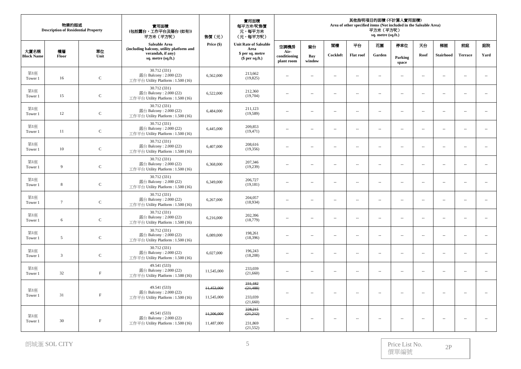|                   | 物業的描述<br><b>Description of Residential Property</b><br>大廈名稱<br>樓層<br>單位 |             | 實用面積<br>(包括露台,工作平台及陽台(如有))<br>平方米 (平方呎)                                      | 實用面積<br>每平方米/呎售價<br>元,每平方米<br>(元,每平方呎)<br>售價(元) |                                      | 其他指明項目的面積(不計算入實用面積)<br>Area of other specified items (Not included in the Saleable Area)<br>平方米 (平方呎)<br>sq. metre (sq.ft.) |                          |                          |                          |                             |                             |                          |                          |                             |                          |
|-------------------|-------------------------------------------------------------------------|-------------|------------------------------------------------------------------------------|-------------------------------------------------|--------------------------------------|-----------------------------------------------------------------------------------------------------------------------------|--------------------------|--------------------------|--------------------------|-----------------------------|-----------------------------|--------------------------|--------------------------|-----------------------------|--------------------------|
|                   |                                                                         |             | Saleable Area<br>(including balcony, utility platform and                    | Price (\$)                                      | <b>Unit Rate of Saleable</b><br>Area | 空調機房                                                                                                                        | 窗台                       | 閣樓                       | 平台                       | 花園                          | 停車位                         | 天台                       | 梯屋                       | 前庭                          | 庭院                       |
| <b>Block Name</b> | Floor                                                                   | Unit        | verandah, if any)<br>sq. metre (sq.ft.)                                      |                                                 | \$ per sq. metre<br>$$$ per sq.ft.)  | Air-<br>conditioning<br>plant room                                                                                          | Bay<br>window            | Cockloft                 | <b>Flat</b> roof         | Garden                      | Parking<br>space            | Roof                     | <b>Stairhood</b>         | <b>Terrace</b>              | Yard                     |
| 第1座<br>Tower 1    | 16                                                                      | $\mathsf C$ | 30.712 (331)<br>露台 Balcony: $2.000(22)$<br>工作平台 Utility Platform: 1.500 (16) | 6,562,000                                       | 213,662<br>(19,825)                  | $\overline{\phantom{a}}$                                                                                                    | ÷.                       | $\sim$                   | $\overline{\phantom{a}}$ | $\overline{\phantom{a}}$    | $\overline{\phantom{a}}$    | $\sim$                   | $\sim$                   | $\sim$                      | $\sim$                   |
| 第1座<br>Tower 1    | 15                                                                      | $\mathbf C$ | 30.712 (331)<br>露台 Balcony: $2.000(22)$<br>工作平台 Utility Platform: 1.500 (16) | 6,522,000                                       | 212,360<br>(19,704)                  | $\sim$                                                                                                                      | $\sim$                   | $\sim$                   | $\sim$                   | $\overline{\phantom{a}}$    | $\sim$                      | $\sim$                   | $\sim$                   | $\sim$ $\sim$               | $\overline{\phantom{a}}$ |
| 第1座<br>Tower 1    | 12                                                                      | ${\bf C}$   | 30.712 (331)<br>露台 Balcony: 2.000 (22)<br>工作平台 Utility Platform: 1.500 (16)  | 6,484,000                                       | 211,123<br>(19,589)                  | $\sim$                                                                                                                      | $\sim$                   | $\overline{a}$           | $\sim$                   | $\mathcal{L}_{\mathcal{A}}$ | $\sim$                      | $\sim$                   | $\sim$                   | $\sim$ $\sim$               | $\overline{\phantom{a}}$ |
| 第1座<br>Tower 1    | 11                                                                      | $\mathsf C$ | 30.712 (331)<br>露台 Balcony: 2.000 (22)<br>工作平台 Utility Platform: 1.500 (16)  | 6,445,000                                       | 209,853<br>(19, 471)                 | ÷.                                                                                                                          | L.                       | $\sim$                   | $\sim$                   | $\ddot{\phantom{a}}$        | $\ddot{\phantom{a}}$        | $\sim$                   | $\mathbf{L}$             | $\mathcal{L}_{\mathcal{A}}$ | ÷.                       |
| 第1座<br>Tower 1    | 10                                                                      | $\mathbf C$ | 30.712 (331)<br>露台 Balcony: 2.000 (22)<br>工作平台 Utility Platform: 1.500 (16)  | 6,407,000                                       | 208,616<br>(19,356)                  | $\overline{\phantom{a}}$                                                                                                    | $\sim$                   | $\overline{a}$           | $\sim$                   | $\mathcal{L}_{\mathcal{A}}$ | $\mathcal{L}_{\mathcal{A}}$ | $\sim$                   | $\sim$                   | $\sim$ $\sim$               | $\sim$                   |
| 第1座<br>Tower 1    | 9                                                                       | $\mathsf C$ | 30.712 (331)<br>露台 Balcony: 2.000 (22)<br>工作平台 Utility Platform: 1.500 (16)  | 6,368,000                                       | 207,346<br>(19,239)                  | $\overline{\phantom{a}}$                                                                                                    | $\sim$                   | $\overline{a}$           | $\overline{a}$           | $\mathbf{u}$                | $\sim$                      | $\sim$                   | $\sim$                   | $\sim$ $\sim$               | $\overline{\phantom{a}}$ |
| 第1座<br>Tower 1    | 8                                                                       | $\mathsf C$ | 30.712 (331)<br>露台 Balcony: 2.000 (22)<br>工作平台 Utility Platform: 1.500 (16)  | 6,349,000                                       | 206,727<br>(19, 181)                 | $\overline{\phantom{a}}$                                                                                                    | $\sim$                   | $\sim$                   | $\overline{\phantom{a}}$ | $\mathcal{L}_{\mathcal{A}}$ | $\overline{\phantom{a}}$    | $\ddotsc$                | $\sim$                   | $\mathcal{L}_{\mathcal{A}}$ | $\ldots$                 |
| 第1座<br>Tower 1    | $7\phantom{.0}$                                                         | $\mathbf C$ | 30.712 (331)<br>露台 Balcony: 2.000 (22)<br>工作平台 Utility Platform: 1.500 (16)  | 6,267,000                                       | 204,057<br>(18,934)                  | $\overline{\phantom{a}}$                                                                                                    | ÷.                       | $\sim$                   | $\sim$                   | $\overline{\phantom{a}}$    | $\sim$                      | $\sim$                   | $\sim$                   | Ξ.                          | ÷.                       |
| 第1座<br>Tower 1    | 6                                                                       | $\mathsf C$ | 30.712 (331)<br>露台 Balcony: 2.000 (22)<br>工作平台 Utility Platform: 1.500 (16)  | 6,216,000                                       | 202,396<br>(18, 779)                 | $\overline{\phantom{a}}$                                                                                                    | ÷.                       | $\sim$                   | $\overline{a}$           | $\ddot{\phantom{a}}$        | $\sim$                      | $\sim$                   | $\overline{\phantom{a}}$ | $\sim$                      | ÷.                       |
| 第1座<br>Tower 1    | 5                                                                       | $\mathsf C$ | 30.712 (331)<br>露台 Balcony: 2.000 (22)<br>工作平台 Utility Platform: 1.500 (16)  | 6,089,000                                       | 198,261<br>(18,396)                  | $\sim$                                                                                                                      | $\sim$                   | $\sim$                   | $\sim$                   | $\overline{\phantom{a}}$    | $\sim$                      | $\sim$                   | $\sim$                   | $\sim$ $\sim$               | $\sim$                   |
| 第1座<br>Tower 1    | $\overline{\mathbf{3}}$                                                 | $\mathbf C$ | 30.712 (331)<br>露台 Balcony: 2.000 (22)<br>工作平台 Utility Platform: 1.500 (16)  | 6,027,000                                       | 196,243<br>(18,208)                  | $\sim$                                                                                                                      | $\sim$                   | $\overline{a}$           | $\sim$                   | $\mathbf{u}$                | $\sim$                      | $\sim$                   | $\sim$                   | $\sim$ $\sim$               | $\overline{\phantom{a}}$ |
| 第1座<br>Tower 1    | 32                                                                      | $\rm F$     | 49.541 (533)<br>露台 Balcony: 2.000 (22)<br>工作平台 Utility Platform: 1.500 (16)  | 11,545,000                                      | 233,039<br>(21,660)                  | $\overline{\phantom{a}}$                                                                                                    | $\sim$                   | $\sim$                   | $\overline{a}$           | $\overline{\phantom{a}}$    | $\sim$                      | $\overline{\phantom{a}}$ | $\overline{\phantom{a}}$ | $\overline{a}$              | ÷.                       |
| 第1座<br>Tower 1    | 31                                                                      | $\rm F$     | 49.541 (533)<br>露台 Balcony: 2.000 (22)                                       | 11,453,000                                      | 231,182<br>(21, 488)                 | $\overline{\phantom{a}}$                                                                                                    | $\overline{\phantom{a}}$ | $\overline{\phantom{a}}$ | $\overline{\phantom{a}}$ | $\overline{\phantom{a}}$    | $\sim$                      | $\sim$                   | $\sim$                   | $\sim$                      | $\sim$                   |
|                   |                                                                         |             | 工作平台 Utility Platform: 1.500 (16)                                            | 11,545,000                                      | 233,039<br>(21,660)                  |                                                                                                                             |                          |                          |                          |                             |                             |                          |                          |                             |                          |
| 第1座<br>Tower 1    | 30                                                                      | $_{\rm F}$  | 49.541 (533)<br>露台 Balcony: 2.000 (22)                                       | 11,306,000                                      | 228,215<br>(21,212)                  | $\cdots$                                                                                                                    | $\sim$                   | $\overline{a}$           | $\sim$                   | $\overline{\phantom{a}}$    | $\sim$                      | $\overline{\phantom{a}}$ | $\sim$                   | $\overline{\phantom{a}}$    | $\ldots$                 |
|                   |                                                                         |             | 工作平台 Utility Platform: 1.500 (16)                                            | 11,487,000                                      | 231,869<br>(21, 552)                 |                                                                                                                             |                          |                          |                          |                             |                             |                          |                          |                             |                          |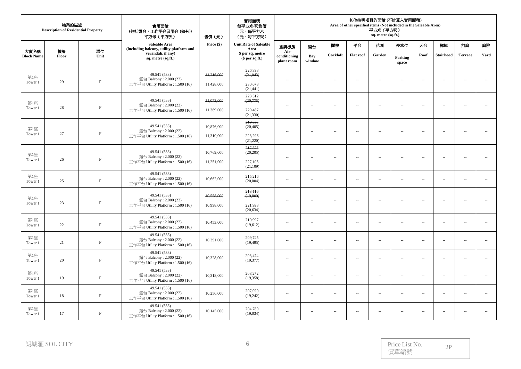|                           | 物業的描述<br><b>Description of Residential Property</b> |             | 實用面積<br>(包括露台,工作平台及陽台(如有))<br>平方米 (平方呎)                                     | 售價(元)      | 實用面積<br>每平方米/呎售價<br>元,每平方米<br>(元,每平方呎) |                                    |                          |                          | Area of other specified items (Not included in the Saleable Area) | 平方米 (平方呎)<br>sq. metre (sq.ft.) | 其他指明項目的面積 (不計算入實用面積)        |                             |                          |                          |                          |
|---------------------------|-----------------------------------------------------|-------------|-----------------------------------------------------------------------------|------------|----------------------------------------|------------------------------------|--------------------------|--------------------------|-------------------------------------------------------------------|---------------------------------|-----------------------------|-----------------------------|--------------------------|--------------------------|--------------------------|
|                           |                                                     |             | Saleable Area<br>(including balcony, utility platform and                   | Price (\$) | <b>Unit Rate of Saleable</b><br>Area   | 空調機房                               | 窗台                       | 閣樓                       | 平台                                                                | 花園                              | 停車位                         | 天台                          | 梯屋                       | 前庭                       | 庭院                       |
| 大廈名稱<br><b>Block Name</b> | 樓層<br>Floor                                         | 單位<br>Unit  | verandah, if any)<br>sq. metre (sq.ft.)                                     |            | \$ per sq. metre<br>$$$ per sq.ft.)    | Air-<br>conditioning<br>plant room | Bay<br>window            | Cockloft                 | <b>Flat roof</b>                                                  | Garden                          | Parking<br>space            | Roof                        | <b>Stairhood</b>         | <b>Terrace</b>           | Yard                     |
| 第1座                       |                                                     |             | 49.541 (533)<br>露台 Balcony: 2.000 (22)                                      | 11,216,000 | 226,398<br>(21, 043)                   | ц,                                 |                          | $\sim$                   | Ξ.                                                                | $\sim$                          |                             | $\sim$                      | $\sim$                   | $\sim$                   | $\sim$                   |
| Tower 1                   | 29                                                  | $\mathbf F$ | 工作平台 Utility Platform: 1.500 (16)                                           | 11,428,000 | 230,678<br>(21, 441)                   |                                    |                          |                          |                                                                   |                                 |                             |                             |                          |                          |                          |
| 第1座                       |                                                     |             | 49.541 (533)<br>露台 Balcony: 2.000 (22)                                      | 11,073,000 | 223,512<br>(20, 775)                   | $\sim$                             | $\sim$                   | $\sim$                   | $\sim$                                                            | $\sim$                          | Ξ.                          | $\ddot{\phantom{a}}$        | $\sim$                   | $\overline{\phantom{a}}$ | ÷.                       |
| Tower 1                   | 28                                                  | $\mathbf F$ | 工作平台 Utility Platform: 1.500 (16)                                           | 11,369,000 | 229,487<br>(21, 330)                   |                                    |                          |                          |                                                                   |                                 |                             |                             |                          |                          |                          |
| 第1座                       |                                                     |             | 49.541 (533)<br>露台 Balcony: 2.000 (22)                                      | 10,876,000 | 219,535<br>(20, 405)                   |                                    |                          | $\sim$                   |                                                                   |                                 |                             |                             |                          |                          | $\ddotsc$                |
| Tower 1                   | 27                                                  | $\mathbf F$ | 工作平台 Utility Platform: 1.500 (16)                                           | 11,310,000 | 228,296<br>(21,220)                    | $\overline{\phantom{a}}$           | $\sim$                   |                          | $\overline{\phantom{a}}$                                          | $\overline{\phantom{a}}$        | $\overline{\phantom{a}}$    | $\sim$                      | $\sim$                   | $\sim$                   |                          |
| 第1座                       |                                                     |             | 49.541 (533)                                                                | 10,769,000 | 217,376<br>(20,205)                    |                                    |                          |                          |                                                                   |                                 |                             |                             |                          |                          |                          |
| Tower 1                   | 26                                                  | $\mathbf F$ | 露台 Balcony: 2.000 (22)<br>工作平台 Utility Platform: 1.500 (16)                 | 11,251,000 | 227,105<br>(21,109)                    | $\sim$                             | $\sim$                   | $\sim$                   | $\overline{\phantom{a}}$                                          | $\sim$                          | $\sim$                      | $\sim$                      | $\sim$                   | $\sim$                   | $\sim$                   |
| 第1座<br>Tower 1            | 25                                                  | $\mathbf F$ | 49.541 (533)<br>露台 Balcony: 2.000 (22)<br>工作平台 Utility Platform: 1.500 (16) | 10,662,000 | 215,216<br>(20,004)                    | $\sim$                             | $\sim$                   | $\overline{\phantom{a}}$ | $\overline{\phantom{a}}$                                          | $\overline{\phantom{a}}$        | $\overline{\phantom{a}}$    | $\overline{\phantom{a}}$    | $\sim$                   | $\sim$                   | $\overline{\phantom{a}}$ |
| 第1座                       |                                                     |             | 49.541 (533)                                                                | 10,558,000 | 213,116<br>(19, 809)                   |                                    |                          |                          |                                                                   |                                 |                             |                             |                          |                          |                          |
| Tower 1                   | 23                                                  | $\mathbf F$ | 露台 Balcony: 2.000 (22)<br>工作平台 Utility Platform: 1.500 (16)                 | 10,998,000 | 221,998<br>(20, 634)                   | $\overline{\phantom{a}}$           | $\sim$                   | $\overline{\phantom{a}}$ | $\overline{\phantom{a}}$                                          | $\sim$                          | $\overline{\phantom{a}}$    | $\overline{\phantom{a}}$    | $\sim$                   | $\sim$                   | $\sim$                   |
| 第1座<br>Tower 1            | 22                                                  | $\rm F$     | 49.541 (533)<br>露台 Balcony: 2.000 (22)<br>工作平台 Utility Platform: 1.500 (16) | 10,453,000 | 210,997<br>(19,612)                    | $\sim$                             | $\overline{\phantom{a}}$ | $\sim$ $-$               | $\sim$                                                            | $\sim$                          | $\mathcal{L}_{\mathcal{A}}$ | $\mathcal{L}_{\mathcal{A}}$ | $\sim$                   | $\sim$ $\sim$            | $\overline{a}$           |
| 第1座<br>Tower 1            | 21                                                  | $\rm F$     | 49.541 (533)<br>露台 Balcony: 2.000 (22)<br>工作平台 Utility Platform: 1.500 (16) | 10,391,000 | 209,745<br>(19, 495)                   | $\overline{\phantom{a}}$           | $\sim$                   | $\sim$ $-$               | $\overline{\phantom{a}}$                                          | $\overline{\phantom{a}}$        | $\mathcal{L}_{\mathcal{A}}$ | $\overline{\phantom{a}}$    | $\sim$                   | $\sim$                   | $\overline{\phantom{a}}$ |
| 第1座<br>Tower 1            | 20                                                  | $\rm F$     | 49.541 (533)<br>露台 Balcony: 2.000 (22)<br>工作平台 Utility Platform: 1.500 (16) | 10,328,000 | 208,474<br>(19,377)                    | $\sim$                             | $\sim$                   | $\overline{\phantom{a}}$ | $\sim$                                                            | $\overline{\phantom{a}}$        | Ξ.                          | $\overline{\phantom{a}}$    | $\overline{\phantom{a}}$ | À.                       | $\overline{\phantom{a}}$ |
| 第1座<br>Tower 1            | 19                                                  | $\rm F$     | 49.541 (533)<br>露台 Balcony: 2.000 (22)<br>工作平台 Utility Platform: 1.500 (16) | 10,318,000 | 208,272<br>(19,358)                    | $\sim$                             | $\overline{\phantom{a}}$ | $\sim$ $-$               | $\overline{\phantom{a}}$                                          | $\overline{\phantom{a}}$        | $\sim$                      | $\overline{\phantom{a}}$    | $\overline{\phantom{a}}$ | $\sim$                   | $\sim$                   |
| 第1座<br>Tower 1            | 18                                                  | $\rm F$     | 49.541 (533)<br>露台 Balcony: 2.000 (22)<br>工作平台 Utility Platform: 1.500 (16) | 10,256,000 | 207,020<br>(19,242)                    | $\overline{\phantom{a}}$           | $\sim$                   | $\sim$ $-$               | $\overline{\phantom{a}}$                                          | $\overline{\phantom{a}}$        | $\mathcal{L}_{\mathcal{A}}$ | $\overline{\phantom{a}}$    | $\sim$                   | $\sim$                   | $\sim$                   |
| 第1座<br>Tower 1            | 17                                                  | $\rm F$     | 49.541 (533)<br>露台 Balcony: 2.000 (22)<br>工作平台 Utility Platform: 1.500 (16) | 10,145,000 | 204,780<br>(19,034)                    | $\sim$                             | $\sim$                   | $\sim$                   | $\sim$                                                            | $\overline{\phantom{a}}$        | Ξ.                          | $\sim$                      | $\sim$                   | À.                       | ÷.                       |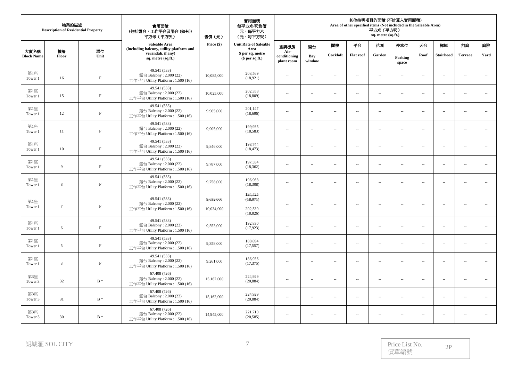|                           | 物業的描述<br><b>Description of Residential Property</b> |             | 實用面積<br>(包括露台,工作平台及陽台(如有))<br>平方米 (平方呎)                                      | 售價 (元)     | 實用面積<br>每平方米/呎售價<br>元,每平方米<br>(元,每平方呎) | 其他指明項目的面積(不計算入實用面積)<br>Area of other specified items (Not included in the Saleable Area)<br>平方米 (平方呎)<br>sq. metre (sq.ft.) |                          |                      |                          |                             |                             |                             |                  |                          |                          |  |  |
|---------------------------|-----------------------------------------------------|-------------|------------------------------------------------------------------------------|------------|----------------------------------------|-----------------------------------------------------------------------------------------------------------------------------|--------------------------|----------------------|--------------------------|-----------------------------|-----------------------------|-----------------------------|------------------|--------------------------|--------------------------|--|--|
|                           |                                                     |             | Saleable Area<br>(including balcony, utility platform and                    | Price (\$) | <b>Unit Rate of Saleable</b><br>Area   | 空調機房                                                                                                                        | 窗台                       | 閣樓                   | 平台                       | 花園                          | 停車位                         | 天台                          | 梯屋               | 前庭                       | 庭院                       |  |  |
| 大廈名稱<br><b>Block Name</b> | 樓層<br>Floor                                         | 單位<br>Unit  | verandah, if any)<br>sq. metre (sq.ft.)                                      |            | \$ per sq. metre<br>$$$ per sq.ft.)    | Air-<br>conditioning<br>plant room                                                                                          | Bay<br>window            | Cockloft             | <b>Flat roof</b>         | Garden                      | Parking<br>space            | Roof                        | <b>Stairhood</b> | <b>Terrace</b>           | Yard                     |  |  |
| 第1座<br>Tower 1            | 16                                                  | $\rm F$     | 49.541 (533)<br>露台 Balcony: 2.000 (22)<br>工作平台 Utility Platform: 1.500 (16)  | 10,085,000 | 203,569<br>(18,921)                    | $\sim$                                                                                                                      | $\sim$                   | $\sim$               | $\sim$ $-$               | $\sim$                      | $\overline{a}$              | $\sim$                      | $\sim$           | $\sim$                   | $\overline{a}$           |  |  |
| 第1座<br>Tower 1            | 15                                                  | $\mathbf F$ | 49.541 (533)<br>露台 Balcony: 2.000 (22)<br>工作平台 Utility Platform: 1.500 (16)  | 10,025,000 | 202.358<br>(18, 809)                   | $\overline{a}$                                                                                                              | $\sim$                   | $\overline{a}$       | $\overline{a}$           | $\sim$                      | $\mathcal{L}_{\mathcal{A}}$ | $\sim$                      | $\sim$           | $\sim$                   | ÷.                       |  |  |
| 第1座<br>Tower 1            | 12                                                  | $\rm F$     | 49.541 (533)<br>露台 Balcony: 2.000 (22)<br>工作平台 Utility Platform: 1.500 (16)  | 9,965,000  | 201,147<br>(18,696)                    | $\sim$                                                                                                                      | $\sim$                   | $\sim$               | $\sim$                   | $\overline{\phantom{a}}$    | Ξ.                          | $\overline{\phantom{a}}$    | $\sim$           | $\sim$                   | $\overline{\phantom{a}}$ |  |  |
| 第1座<br>Tower 1            | 11                                                  | $\mathbf F$ | 49.541 (533)<br>露台 Balcony: 2.000 (22)<br>工作平台 Utility Platform: 1.500 (16)  | 9,905,000  | 199,935<br>(18,583)                    | $\overline{\phantom{a}}$                                                                                                    | $\sim$                   | $\sim$               | $\overline{\phantom{a}}$ | $\overline{\phantom{a}}$    | Ξ.                          | $\overline{\phantom{a}}$    | $\sim$           | $\overline{\phantom{a}}$ | $\overline{\phantom{a}}$ |  |  |
| 第1座<br>Tower 1            | 10                                                  | $\mathbf F$ | 49.541 (533)<br>露台 Balcony: 2.000 (22)<br>工作平台 Utility Platform: 1.500 (16)  | 9,846,000  | 198,744<br>(18, 473)                   | Ξ.                                                                                                                          | $\sim$                   | $\overline{a}$       | $\sim$                   | $\overline{\phantom{a}}$    | Ξ.                          | $\sim$                      | $\sim$           | $\sim$                   | $\overline{\phantom{a}}$ |  |  |
| 第1座<br>Tower 1            | 9                                                   | $\rm F$     | 49.541 (533)<br>露台 Balcony: 2.000 (22)<br>工作平台 Utility Platform: 1.500 (16)  | 9,787,000  | 197,554<br>(18, 362)                   | $\mathcal{L}_{\mathcal{A}}$                                                                                                 | $\overline{\phantom{a}}$ | $\sim$               | $\sim$ $-$               | $\sim$                      | $\mathcal{L}_{\mathcal{A}}$ | $\sim$                      | $\sim$           | $\sim$                   | $\overline{a}$           |  |  |
| 第1座<br>Tower 1            | 8                                                   | $\rm F$     | 49.541 (533)<br>露台 Balcony: 2.000 (22)<br>工作平台 Utility Platform : 1.500 (16) | 9,758,000  | 196,968<br>(18,308)                    | $\sim$                                                                                                                      | $\sim$                   | $\sim$               | $\sim$                   | $\overline{\phantom{a}}$    | $\overline{a}$              | $\overline{\phantom{a}}$    | $\sim$           | $\sim$                   | $\sim$                   |  |  |
| 第1座                       |                                                     |             | 49.541 (533)                                                                 | 9,632,000  | 194,425<br>(18,071)                    |                                                                                                                             |                          |                      |                          |                             |                             |                             |                  |                          |                          |  |  |
| Tower 1                   | $7\phantom{.0}$                                     | $\mathbf F$ | 露台 Balcony: 2.000 (22)<br>工作平台 Utility Platform: 1.500 (16)                  | 10,034,000 | 202,539<br>(18, 826)                   | $\overline{a}$                                                                                                              | $\sim$                   | $\sim$               | ц,                       | $\sim$                      | $\sim$                      | $\sim$                      | $\sim$           | $\sim$                   | $\sim$                   |  |  |
| 第1座<br>Tower 1            | 6                                                   | $\rm F$     | 49.541 (533)<br>露台 Balcony: 2.000 (22)<br>工作平台 Utility Platform: 1.500 (16)  | 9,553,000  | 192,830<br>(17, 923)                   | $\overline{\phantom{a}}$                                                                                                    | $\sim$                   | $\sim$               | $\sim$                   | $\sim$                      | $\sim$                      | $\overline{\phantom{a}}$    | $\ldots$         | $\sim$                   | $\overline{a}$           |  |  |
| 第1座<br>Tower 1            | 5                                                   | $\mathbf F$ | 49.541 (533)<br>露台 Balcony: 2.000 (22)<br>工作平台 Utility Platform : 1.500 (16) | 9,358,000  | 188,894<br>(17, 557)                   | Ξ.                                                                                                                          | $\sim$                   | $\ddot{\phantom{a}}$ | $\ddot{\phantom{a}}$     | $\overline{\phantom{a}}$    | Ξ.                          | $\sim$                      | $\sim$           | $\ddotsc$                | $\overline{\phantom{a}}$ |  |  |
| 第1座<br>Tower 1            | 3                                                   | $\rm F$     | 49.541 (533)<br>露台 Balcony: 2.000 (22)<br>工作平台 Utility Platform: 1.500 (16)  | 9,261,000  | 186,936<br>(17, 375)                   | $\overline{\phantom{a}}$                                                                                                    | $\sim$                   | $\sim$               | $\overline{\phantom{a}}$ | $\overline{\phantom{a}}$    | $\overline{\phantom{a}}$    | $\sim$                      | $\sim$           | $\sim$                   | $\sim$                   |  |  |
| 第3座<br>Tower 3            | 32                                                  | $B *$       | 67.408 (726)<br>露台 Balcony: 2.000 (22)<br>工作平台 Utility Platform: 1.500 (16)  | 15,162,000 | 224,929<br>(20, 884)                   | $\overline{a}$                                                                                                              | $\sim$                   | $\sim$               | $\sim$ $-$               | $\mathcal{L}_{\mathcal{A}}$ | $\overline{a}$              | $\mathcal{L}_{\mathcal{A}}$ | $\sim$           | $\sim$                   | $\sim$                   |  |  |
| 第3座<br>Tower 3            | 31                                                  | $B^*$       | 67.408 (726)<br>露台 Balcony: 2.000 (22)<br>工作平台 Utility Platform: 1.500 (16)  | 15,162,000 | 224,929<br>(20, 884)                   | $\overline{\phantom{a}}$                                                                                                    | $\sim$                   | $\sim$               | $\overline{\phantom{a}}$ | $\overline{\phantom{a}}$    | $\sim$                      | $\overline{\phantom{a}}$    | $\sim$           | $\sim$                   | $\overline{\phantom{a}}$ |  |  |
| 第3座<br>Tower 3            | 30                                                  | $B *$       | 67.408 (726)<br>露台 Balcony: 2.000 (22)<br>工作平台 Utility Platform: 1.500 (16)  | 14,945,000 | 221,710<br>(20, 585)                   | $\overline{a}$                                                                                                              | $\sim$                   | $\sim$               | $\sim$ $-$               | $\overline{\phantom{a}}$    | $\overline{a}$              | $\overline{\phantom{a}}$    | $\sim$           | $\sim$                   | $\overline{\phantom{a}}$ |  |  |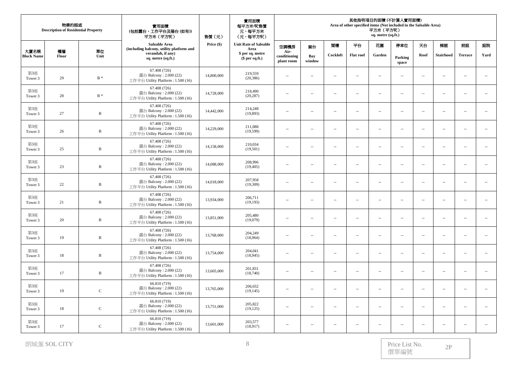|                           | 物業的描述<br><b>Description of Residential Property</b> |                   | 實用面積<br>(包括露台,工作平台及陽台(如有))<br>平方米 (平方呎)                                      | 售價(元)      | 實用面積<br>每平方米/呎售價<br>元,每平方米<br>(元,每平方呎) | 其他指明項目的面積 (不計算入實用面積)<br>Area of other specified items (Not included in the Saleable Area)<br>平方米 (平方呎)<br>sq. metre (sq.ft.) |                          |                             |                          |                          |                          |                          |                          |                          |                             |  |
|---------------------------|-----------------------------------------------------|-------------------|------------------------------------------------------------------------------|------------|----------------------------------------|------------------------------------------------------------------------------------------------------------------------------|--------------------------|-----------------------------|--------------------------|--------------------------|--------------------------|--------------------------|--------------------------|--------------------------|-----------------------------|--|
|                           |                                                     |                   | Saleable Area<br>(including balcony, utility platform and                    | Price (\$) | <b>Unit Rate of Saleable</b><br>Area   | 空調機房                                                                                                                         | 窗台                       | 閣樓                          | 平台                       | 花園                       | 停車位                      | 天台                       | 梯屋                       | 前庭                       | 庭院                          |  |
| 大廈名稱<br><b>Block Name</b> | 樓層<br>Floor                                         | 單位<br>Unit        | verandah, if any)<br>sq. metre (sq.ft.)                                      |            | \$ per sq. metre<br>$$$ per sq.ft.)    | Air-<br>conditioning<br>plant room                                                                                           | Bay<br>window            | Cockloft                    | <b>Flat roof</b>         | Garden                   | Parking<br>space         | Roof                     | <b>Stairhood</b>         | <b>Terrace</b>           | Yard                        |  |
| 第3座<br>Tower 3            | 29                                                  | $B *$             | 67.408 (726)<br>露台 Balcony: 2.000 (22)<br>工作平台 Utility Platform: 1.500 (16)  | 14,800,000 | 219,559<br>(20, 386)                   | $\overline{\phantom{a}}$                                                                                                     | $\sim$                   | $\sim$                      | $\sim$                   | $\sim$                   | $\overline{\phantom{a}}$ | $\sim$                   | $\sim$                   | $\sim$                   | $\mathcal{L}_{\mathcal{A}}$ |  |
| 第3座<br>Tower 3            | 28                                                  | $\, {\bf B} \,$ * | 67.408 (726)<br>露台 Balcony: 2.000 (22)<br>工作平台 Utility Platform: 1.500 (16)  | 14,728,000 | 218,490<br>(20, 287)                   | $\overline{\phantom{a}}$                                                                                                     | $\sim$                   | $\sim$                      | $\overline{\phantom{a}}$ | $\overline{\phantom{a}}$ | $\overline{\phantom{a}}$ | $\sim$                   | $\sim$                   | $\sim$                   | $\overline{\phantom{a}}$    |  |
| 第3座<br>Tower 3            | 27                                                  | $\, {\bf B}$      | 67.408 (726)<br>露台 Balcony: 2.000 (22)<br>工作平台 Utility Platform: 1.500 (16)  | 14,442,000 | 214,248<br>(19,893)                    | $\cdots$                                                                                                                     | ÷.                       | $\sim$                      | $\overline{\phantom{a}}$ | $\sim$                   | $\overline{\phantom{a}}$ | $\sim$                   | $\sim$                   | $\sim$ $\sim$            | $\overline{\phantom{a}}$    |  |
| 第3座<br>Tower 3            | 26                                                  | $\, {\bf B}$      | 67.408 (726)<br>露台 Balcony: 2.000 (22)<br>工作平台 Utility Platform: 1.500 (16)  | 14,229,000 | 211,088<br>(19,599)                    | $\overline{\phantom{a}}$                                                                                                     | $\sim$                   | $\overline{a}$              | $\sim$ $-$               | $\sim$                   | $\overline{\phantom{a}}$ | $\sim$                   | $\sim$                   | $\overline{a}$           | $\sim$                      |  |
| 第3座<br>Tower 3            | 25                                                  | $\, {\bf B}$      | 67.408 (726)<br>露台 Balcony: 2.000 (22)<br>工作平台 Utility Platform: 1.500 (16)  | 14,158,000 | 210.034<br>(19,501)                    | $\overline{\phantom{a}}$                                                                                                     | $\sim$                   | $\sim$                      | $\overline{\phantom{a}}$ | $\overline{\phantom{a}}$ | $\overline{\phantom{a}}$ | $\sim$                   | $\sim$                   | $\overline{\phantom{a}}$ | $\overline{\phantom{a}}$    |  |
| 第3座<br>Tower 3            | 23                                                  | $\bf{B}$          | 67.408 (726)<br>露台 Balcony: 2.000 (22)<br>工作平台 Utility Platform: 1.500 (16)  | 14,088,000 | 208,996<br>(19, 405)                   | $\overline{\phantom{a}}$                                                                                                     | $\overline{\phantom{a}}$ | $\overline{a}$              | $\ldots$                 | $\overline{\phantom{a}}$ | $\overline{\phantom{a}}$ | $\overline{\phantom{a}}$ | $\ldots$                 |                          | $\sim$                      |  |
| 第3座<br>Tower 3            | 22                                                  | B                 | 67.408 (726)<br>露台 Balcony: 2.000 (22)<br>工作平台 Utility Platform: 1.500 (16)  | 14,018,000 | 207,958<br>(19,309)                    | $\overline{\phantom{a}}$                                                                                                     | ÷.                       | $\sim$                      | $\overline{\phantom{a}}$ | $\sim$                   | $\overline{\phantom{a}}$ | $\sim$                   | $\sim$                   | $\sim$                   | $\overline{\phantom{a}}$    |  |
| 第3座<br>Tower 3            | 21                                                  | $\, {\bf B}$      | 67.408 (726)<br>露台 Balcony: $2.000(22)$<br>工作平台 Utility Platform: 1.500 (16) | 13,934,000 | 206,711<br>(19,193)                    | $\overline{\phantom{a}}$                                                                                                     | $\sim$                   | $\mathcal{L}_{\mathcal{A}}$ | $\sim$                   | $\overline{\phantom{a}}$ | $\overline{\phantom{a}}$ | $\sim$                   | $\sim$                   | $\sim$ $\sim$            | $\ldots$                    |  |
| 第3座<br>Tower 3            | 20                                                  | B                 | 67.408 (726)<br>露台 Balcony: 2.000 (22)<br>工作平台 Utility Platform: 1.500 (16)  | 13,851,000 | 205,480<br>(19,079)                    | $\overline{\phantom{a}}$                                                                                                     | $\sim$                   | $\overline{\phantom{a}}$    | $\overline{\phantom{a}}$ | $\overline{\phantom{a}}$ | $\overline{\phantom{a}}$ | $\sim$                   | $\sim$                   | $\sim$ $\sim$            | $\overline{\phantom{a}}$    |  |
| 第3座<br>Tower 3            | 19                                                  | $\, {\bf B}$      | 67.408 (726)<br>露台 Balcony: 2.000 (22)<br>工作平台 Utility Platform: 1.500 (16)  | 13,768,000 | 204,249<br>(18,964)                    | $\cdots$                                                                                                                     | $\overline{\phantom{a}}$ | $\overline{a}$              | $\overline{\phantom{m}}$ | $\overline{\phantom{a}}$ | $\overline{\phantom{a}}$ | $\sim$                   | $\ldots$                 | $\overline{\phantom{a}}$ | ÷.                          |  |
| 第3座<br>Tower 3            | $18\,$                                              | $\, {\bf B}$      | 67.408 (726)<br>露台 Balcony: 2.000 (22)<br>工作平台 Utility Platform: 1.500 (16)  | 13,754,000 | 204,041<br>(18, 945)                   | $\overline{\phantom{a}}$                                                                                                     | $\overline{\phantom{a}}$ | $\overline{a}$              | $\sim$                   | $\overline{\phantom{a}}$ | $\overline{\phantom{a}}$ | $\overline{\phantom{a}}$ | $\overline{\phantom{a}}$ | $\sim$ $\sim$            | $\overline{\phantom{a}}$    |  |
| 第3座<br>Tower 3            | 17                                                  | B                 | 67.408 (726)<br>露台 Balcony: 2.000 (22)<br>工作平台 Utility Platform: 1.500 (16)  | 13,605,000 | 201,831<br>(18,740)                    | $\overline{\phantom{a}}$                                                                                                     | $\sim$                   | $\overline{\phantom{a}}$    | $\sim$                   | $\overline{\phantom{a}}$ | $\overline{\phantom{a}}$ | $\sim$                   | $\sim$                   | $\overline{\phantom{a}}$ | $\overline{\phantom{a}}$    |  |
| 第3座<br>Tower 3            | 19                                                  | $\mathsf C$       | 66.810 (719)<br>露台 Balcony: 2.000 (22)<br>工作平台 Utility Platform: 1.500 (16)  | 13,765,000 | 206,032<br>(19, 145)                   | $\overline{\phantom{a}}$                                                                                                     | ÷.                       | $\sim$                      | $\overline{\phantom{a}}$ | $\overline{\phantom{a}}$ | $\overline{\phantom{a}}$ | $\overline{\phantom{a}}$ | $\ldots$                 | $\sim$                   | $\ldots$                    |  |
| 第3座<br>Tower 3            | 18                                                  | $\mathbf C$       | 66.810 (719)<br>露台 Balcony: 2.000 (22)<br>工作平台 Utility Platform: 1.500 (16)  | 13,751,000 | 205,822<br>(19, 125)                   | $\overline{\phantom{a}}$                                                                                                     | ÷.                       | $\sim$                      | $\overline{\phantom{a}}$ | $\sim$                   | $\overline{\phantom{a}}$ | $\sim$                   | $\sim$                   | $\sim$                   | $\overline{\phantom{a}}$    |  |
| 第3座<br>Tower 3            | 17                                                  | $\mathbf C$       | 66.810 (719)<br>露台 Balcony: $2.000(22)$<br>工作平台 Utility Platform: 1.500 (16) | 13,601,000 | 203,577<br>(18,917)                    | $\overline{\phantom{a}}$                                                                                                     | $\sim$                   | $\sim$                      | $\sim$                   | $\overline{\phantom{a}}$ | $\sim$                   | $\sim$                   | $\sim$                   | $\sim$                   | $\overline{a}$              |  |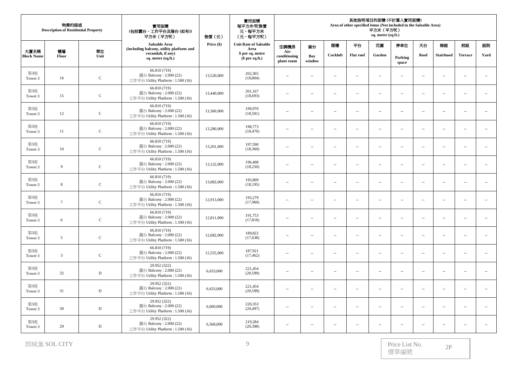|                           | 物業的描述<br><b>Description of Residential Property</b> |             | 實用面積<br>(包括露台,工作平台及陽台(如有))<br>平方米 (平方呎)                                      | 售價(元)      | 實用面積<br>每平方米/呎售價<br>元,每平方米<br>(元,每平方呎) | 其他指明項目的面積 (不計算入實用面積)<br>Area of other specified items (Not included in the Saleable Area)<br>平方米 (平方呎)<br>sq. metre (sq.ft.) |                          |                          |                          |                          |                          |                          |                          |                          |                             |
|---------------------------|-----------------------------------------------------|-------------|------------------------------------------------------------------------------|------------|----------------------------------------|------------------------------------------------------------------------------------------------------------------------------|--------------------------|--------------------------|--------------------------|--------------------------|--------------------------|--------------------------|--------------------------|--------------------------|-----------------------------|
|                           |                                                     |             | Saleable Area<br>(including balcony, utility platform and                    | Price (\$) | <b>Unit Rate of Saleable</b><br>Area   | 空調機房                                                                                                                         | 窗台                       | 閣樓                       | 平台                       | 花園                       | 停車位                      | 天台                       | 梯屋                       | 前庭                       | 庭院                          |
| 大廈名稱<br><b>Block Name</b> | 樓層<br>Floor                                         | 單位<br>Unit  | verandah, if any)<br>sq. metre (sq.ft.)                                      |            | \$ per sq. metre<br>$$$ per sq.ft.)    | Air-<br>conditioning<br>plant room                                                                                           | Bay<br>window            | Cockloft                 | <b>Flat roof</b>         | Garden                   | Parking<br>space         | Roof                     | <b>Stairhood</b>         | <b>Terrace</b>           | Yard                        |
| 第3座<br>Tower 3            | 16                                                  | $\mathbf C$ | 66.810 (719)<br>露台 Balcony: 2.000 (22)<br>工作平台 Utility Platform: 1.500 (16)  | 13,520,000 | 202,365<br>(18, 804)                   | $\overline{a}$                                                                                                               | $\sim$                   | $\overline{a}$           | $\sim$                   | $\sim$                   | $\overline{\phantom{a}}$ | $\sim$                   | $\sim$                   | $\sim$                   | $\sim$                      |
| 第3座<br>Tower 3            | 15                                                  | ${\bf C}$   | 66.810 (719)<br>露台 Balcony: 2.000 (22)<br>工作平台 Utility Platform: 1.500 (16)  | 13,440,000 | 201,167<br>(18,693)                    | $\overline{\phantom{a}}$                                                                                                     | $\overline{\phantom{a}}$ | $\overline{\phantom{a}}$ | $\overline{\phantom{a}}$ | $\overline{\phantom{a}}$ | $\overline{\phantom{a}}$ | $\sim$                   | $\sim$                   | $\sim$                   | $\overline{\phantom{a}}$    |
| 第3座<br>Tower 3            | 12                                                  | $\mathsf C$ | 66.810 (719)<br>露台 Balcony: 2.000 (22)<br>工作平台 Utility Platform: 1.500 (16)  | 13,360,000 | 199,970<br>(18,581)                    | $\overline{\phantom{a}}$                                                                                                     | $\overline{\phantom{a}}$ | $\overline{\phantom{a}}$ | $\overline{\phantom{a}}$ | $\overline{\phantom{a}}$ | $\overline{\phantom{a}}$ | $\overline{\phantom{a}}$ | $\ldots$                 | $\ldots$                 | ÷.                          |
| 第3座<br>Tower 3            | 11                                                  | $\mathsf C$ | 66.810 (719)<br>露台 Balcony: 2.000 (22)<br>工作平台 Utility Platform: 1.500 (16)  | 13,280,000 | 198,773<br>(18, 470)                   | $\cdots$                                                                                                                     | $\overline{\phantom{a}}$ | $\sim$                   | $\overline{\phantom{a}}$ | $\sim$                   | $\overline{\phantom{a}}$ | $\sim$                   | $\sim$                   | $\sim$                   | $\sim$                      |
| 第3座<br>Tower 3            | 10                                                  | $\mathbf C$ | 66.810 (719)<br>露台 Balcony: 2.000 (22)<br>工作平台 Utility Platform: 1.500 (16)  | 13,201,000 | 197,590<br>(18,360)                    | $\overline{a}$                                                                                                               | $\sim$                   | $\sim$                   | $\sim$                   | $\sim$                   | $\overline{a}$           | $\sim$                   | $\sim$                   | $\sim$ $\sim$            | $\sim$                      |
| 第3座<br>Tower 3            | 9                                                   | $\mathbf C$ | 66.810 (719)<br>露台 Balcony: 2.000 (22)<br>工作平台 Utility Platform: 1.500 (16)  | 13,122,000 | 196,408<br>(18,250)                    | $\overline{\phantom{a}}$                                                                                                     | $\sim$                   | $\sim$                   | $\overline{\phantom{a}}$ | $\overline{\phantom{a}}$ | $\overline{\phantom{a}}$ | $\overline{\phantom{a}}$ | $\overline{\phantom{a}}$ | $\overline{\phantom{a}}$ | $\overline{\phantom{a}}$    |
| 第3座<br>Tower 3            | 8                                                   | $\mathsf C$ | 66.810 (719)<br>露台 Balcony: 2.000 (22)<br>工作平台 Utility Platform: 1.500 (16)  | 13,082,000 | 195,809<br>(18, 195)                   | $\overline{\phantom{a}}$                                                                                                     | ÷.                       | $\overline{a}$           | $\overline{a}$           | $\overline{\phantom{a}}$ | $\overline{\phantom{a}}$ | $\overline{\phantom{a}}$ | $\ldots$                 | $\sim$                   | $\mathcal{L}_{\mathcal{A}}$ |
| 第3座<br>Tower 3            | $7\phantom{.0}$                                     | $\mathbf C$ | 66.810 (719)<br>露台 Balcony: 2.000 (22)<br>工作平台 Utility Platform: 1.500 (16)  | 12,913,000 | 193,279<br>(17,960)                    | $\sim$                                                                                                                       | $\sim$                   | $\overline{a}$           | $\sim$ $-$               | $\sim$                   | $\sim$                   | $\sim$                   | $\sim$                   | $\sim$ $\sim$            | $\sim$                      |
| 第3座<br>Tower 3            | 6                                                   | $\mathbf C$ | 66.810 (719)<br>露台 Balcony: 2.000 (22)<br>工作平台 Utility Platform: 1.500 (16)  | 12,811,000 | 191,753<br>(17, 818)                   | $\overline{\phantom{a}}$                                                                                                     | $\sim$                   | $\sim$                   | $\overline{\phantom{a}}$ | $\overline{\phantom{a}}$ | $\overline{\phantom{a}}$ | $\sim$                   | $\sim$                   | $\sim$                   | $\mathcal{L}_{\mathcal{A}}$ |
| 第3座<br>Tower 3            | 5                                                   | $\mathbf C$ | 66.810 (719)<br>露台 Balcony: 2.000 (22)<br>工作平台 Utility Platform: 1.500 (16)  | 12,682,000 | 189,822<br>(17, 638)                   | $\overline{\phantom{a}}$                                                                                                     | $\sim$                   | $\sim$                   | $\overline{\phantom{a}}$ | $\sim$                   | $\overline{\phantom{a}}$ | $\sim$                   | $\sim$                   | ÷.                       | $\sim$                      |
| 第3座<br>Tower 3            | $\overline{3}$                                      | $\mathsf C$ | 66.810 (719)<br>露台 Balcony: 2.000 (22)<br>工作平台 Utility Platform : 1.500 (16) | 12,555,000 | 187,921<br>(17, 462)                   | $\cdots$                                                                                                                     | $\sim$                   | $\sim$                   | $\ldots$                 | $\overline{\phantom{a}}$ | $\sim$                   | $\sim$                   | $\ldots$                 | $\sim$ $\sim$            | $\mathcal{L}_{\mathcal{A}}$ |
| 第3座<br>Tower 3            | 32                                                  | $\mathbb D$ | 29.952 (322)<br>露台 Balcony: 2.000 (22)<br>工作平台 Utility Platform: 1.500 (16)  | 6,633,000  | 221,454<br>(20, 599)                   | $\sim$                                                                                                                       | $\sim$                   | $\overline{a}$           | $\sim$                   | $\sim$                   | $\overline{\phantom{a}}$ | $\sim$                   | $\sim$                   | $\sim$ $\sim$            | $\sim$                      |
| 第3座<br>Tower 3            | 31                                                  | $\mathbf D$ | 29.952 (322)<br>露台 Balcony: 2.000 (22)<br>工作平台 Utility Platform : 1.500 (16) | 6,633,000  | 221,454<br>(20, 599)                   | $\overline{\phantom{a}}$                                                                                                     | $\overline{\phantom{a}}$ | $\overline{\phantom{a}}$ | $\overline{\phantom{a}}$ | $\overline{\phantom{a}}$ | $\overline{\phantom{a}}$ | $\sim$                   | $\sim$                   | $\overline{a}$           | $\ldots$                    |
| 第3座<br>Tower 3            | 30                                                  | D           | 29.952 (322)<br>露台 Balcony: 2.000 (22)<br>工作平台 Utility Platform: 1.500 (16)  | 6,600,000  | 220,353<br>(20, 497)                   | $\overline{\phantom{a}}$                                                                                                     | ÷.                       | $\sim$                   | $\overline{\phantom{a}}$ | $\overline{\phantom{a}}$ | $\overline{\phantom{a}}$ | $\overline{\phantom{a}}$ | $\sim$                   | $\sim$                   | $\ldots$                    |
| 第3座<br>Tower 3            | 29                                                  | $\mathbf D$ | 29.952 (322)<br>露台 Balcony: $2.000(22)$<br>工作平台 Utility Platform: 1.500 (16) | 6,568,000  | 219,284<br>(20, 398)                   | $\overline{\phantom{a}}$                                                                                                     | ц,                       | $\sim$                   | $\sim$                   | $\sim$                   | $\sim$                   | $\sim$                   | $\sim$                   | $\sim$                   |                             |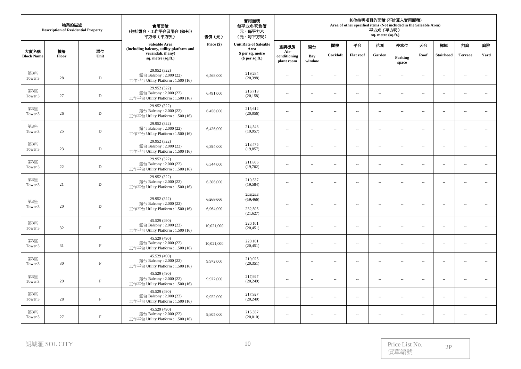|                           | 物業的描述<br><b>Description of Residential Property</b> |              | 實用面積<br>(包括露台,工作平台及陽台(如有))<br>平方米 (平方呎)                                      | 售價(元)      | 實用面積<br>每平方米/呎售價<br>元,每平方米<br>(元,每平方呎) |                                    |                          |                          |                          | 平方米 (平方呎)<br>sq. metre (sq.ft.) | 其他指明項目的面積(不計算入實用面積)<br>Area of other specified items (Not included in the Saleable Area) |                          |                          |                          |                          |
|---------------------------|-----------------------------------------------------|--------------|------------------------------------------------------------------------------|------------|----------------------------------------|------------------------------------|--------------------------|--------------------------|--------------------------|---------------------------------|------------------------------------------------------------------------------------------|--------------------------|--------------------------|--------------------------|--------------------------|
|                           |                                                     |              | Saleable Area<br>(including balcony, utility platform and                    | Price (\$) | <b>Unit Rate of Saleable</b><br>Area   | 空調機房                               | 窗台                       | 閣模                       | 平台                       | 花園                              | 停車位                                                                                      | 天台                       | 梯屋                       | 前庭                       | 庭院                       |
| 大廈名稱<br><b>Block Name</b> | 樓層<br>Floor                                         | 單位<br>Unit   | verandah, if any)<br>sq. metre (sq.ft.)                                      |            | \$ per sq. metre<br>$$$ per sq.ft.)    | Air-<br>conditioning<br>plant room | Bay<br>window            | Cockloft                 | <b>Flat roof</b>         | Garden                          | Parking<br>space                                                                         | Roof                     | <b>Stairhood</b>         | <b>Terrace</b>           | Yard                     |
| 第3座<br>Tower 3            | 28                                                  | $\mathbf D$  | 29.952 (322)<br>露台 Balcony: 2.000 (22)<br>工作平台 Utility Platform: 1.500 (16)  | 6,568,000  | 219,284<br>(20, 398)                   | $\overline{\phantom{a}}$           | $\sim$                   | u.                       | $\overline{\phantom{a}}$ | $\overline{\phantom{a}}$        | $\overline{a}$                                                                           | $\overline{\phantom{a}}$ | $\ldots$                 | $\overline{\phantom{a}}$ |                          |
| 第3座<br>Tower 3            | 27                                                  | $\mathbf D$  | 29.952 (322)<br>露台 Balcony: 2.000 (22)<br>工作平台 Utility Platform : 1.500 (16) | 6,491,000  | 216,713<br>(20, 158)                   | Ξ.                                 | $\sim$                   | $\overline{a}$           | $\overline{\phantom{a}}$ | $\overline{\phantom{a}}$        | $\overline{\phantom{a}}$                                                                 | $\overline{\phantom{a}}$ | $\overline{\phantom{a}}$ | $\overline{\phantom{a}}$ | ÷.                       |
| 第3座<br>Tower 3            | 26                                                  | $\mathbf D$  | 29.952 (322)<br>露台 Balcony: 2.000 (22)<br>工作平台 Utility Platform: 1.500 (16)  | 6,458,000  | 215,612<br>(20,056)                    | $\overline{\phantom{a}}$           | $\sim$                   | $\sim$                   | $\overline{\phantom{a}}$ | $\overline{\phantom{a}}$        | $\overline{\phantom{a}}$                                                                 | $\overline{\phantom{a}}$ | $\sim$                   | $\sim$                   | $\overline{\phantom{a}}$ |
| 第3座<br>Tower 3            | 25                                                  | $\mathbf D$  | 29.952 (322)<br>露台 Balcony: 2.000 (22)<br>工作平台 Utility Platform: 1.500 (16)  | 6,426,000  | 214,543<br>(19,957)                    | $\overline{\phantom{a}}$           | $\sim$                   | $\sim$                   | $\overline{\phantom{a}}$ | $\overline{\phantom{a}}$        | $\overline{a}$                                                                           | $\overline{\phantom{a}}$ | $\sim$                   | $\sim$                   | $\sim$                   |
| 第3座<br>Tower 3            | 23                                                  | $\mathbf D$  | 29.952 (322)<br>露台 Balcony: 2.000 (22)<br>工作平台 Utility Platform: 1.500 (16)  | 6,394,000  | 213,475<br>(19, 857)                   | --                                 | $\sim$                   | $\sim$                   | $\sim$                   | $\overline{\phantom{a}}$        | $\overline{\phantom{a}}$                                                                 | $\overline{\phantom{a}}$ | $\sim$                   | $\sim$                   | $\overline{\phantom{a}}$ |
| 第3座<br>Tower 3            | 22                                                  | $\mathbf D$  | 29.952 (322)<br>露台 Balcony: 2.000 (22)<br>工作平台 Utility Platform: 1.500 (16)  | 6,344,000  | 211,806<br>(19,702)                    | $\overline{\phantom{a}}$           | $\sim$                   | $\overline{\phantom{a}}$ | $\overline{\phantom{a}}$ | $\overline{\phantom{a}}$        | $\overline{\phantom{a}}$                                                                 | $\overline{\phantom{a}}$ | $\overline{\phantom{a}}$ | $\overline{\phantom{a}}$ | $\overline{\phantom{a}}$ |
| 第3座<br>Tower 3            | 21                                                  | $\mathbf D$  | 29.952 (322)<br>露台 Balcony: 2.000 (22)<br>工作平台 Utility Platform : 1.500 (16) | 6,306,000  | 210,537<br>(19, 584)                   | $\overline{\phantom{a}}$           | $\sim$                   | $\sim$                   | $\sim$                   | $\overline{\phantom{a}}$        | $\overline{a}$                                                                           | $\overline{\phantom{a}}$ | $\sim$                   | $\sim$                   | ÷.                       |
| 第3座                       |                                                     |              | 29.952 (322)<br>露台 Balcony: 2.000 (22)                                       | 6,268,000  | 209,268<br>(19, 466)                   | $\overline{a}$                     | $\sim$                   | $\sim$                   | $\sim$                   | $\sim$                          | $\overline{a}$                                                                           | $\sim$                   | $\sim$                   | $\sim$                   | $\sim$                   |
| Tower 3                   | 20                                                  | $\mathbf D$  | 工作平台 Utility Platform : 1.500 (16)                                           | 6,964,000  | 232,505<br>(21,627)                    |                                    |                          |                          |                          |                                 |                                                                                          |                          |                          |                          |                          |
| 第3座<br>Tower 3            | 32                                                  | $\rm F$      | 45.529 (490)<br>露台 Balcony: 2.000 (22)<br>工作平台 Utility Platform: 1.500 (16)  | 10,021,000 | 220,101<br>(20, 451)                   | $\overline{a}$                     | $\sim$                   | $\overline{a}$           | $\sim$ $-$               | $\mathbf{u}$                    | $\mathbf{u}$                                                                             | $\overline{\phantom{a}}$ | $\sim$                   | $\sim$                   | $\ldots$                 |
| 第3座<br>Tower 3            | 31                                                  | $\rm F$      | 45.529 (490)<br>露台 Balcony: 2.000 (22)<br>工作平台 Utility Platform : 1.500 (16) | 10,021,000 | 220,101<br>(20, 451)                   | $\sim$                             | $\sim$                   | $\sim$                   | $\sim$                   | $\overline{\phantom{a}}$        | Ξ.                                                                                       | $\overline{\phantom{a}}$ | $\sim$                   | $\sim$                   | $\overline{\phantom{a}}$ |
| 第3座<br>Tower 3            | 30                                                  | $\mathbf F$  | 45.529 (490)<br>露台 Balcony: 2.000 (22)<br>工作平台 Utility Platform: 1.500 (16)  | 9,972,000  | 219,025<br>(20, 351)                   | $\overline{\phantom{a}}$           | $\overline{\phantom{a}}$ | $\ldots$                 | $\ldots$                 | $\overline{\phantom{a}}$        | --                                                                                       | $\overline{\phantom{a}}$ | $\ldots$                 | $\overline{\phantom{a}}$ | $\sim$                   |
| 第3座<br>Tower 3            | 29                                                  | $\mathbf{F}$ | 45.529 (490)<br>露台 Balcony: 2.000 (22)<br>工作平台 Utility Platform: 1.500 (16)  | 9,922,000  | 217,927<br>(20, 249)                   | $\overline{\phantom{a}}$           | $\sim$                   | $\sim$                   | $\overline{\phantom{a}}$ | $\overline{\phantom{a}}$        | $\overline{\phantom{a}}$                                                                 | $\overline{\phantom{a}}$ | $\sim$                   | $\sim$                   | u.                       |
| 第3座<br>Tower 3            | 28                                                  | $\rm F$      | 45.529 (490)<br>露台 Balcony: 2.000 (22)<br>工作平台 Utility Platform: 1.500 (16)  | 9,922,000  | 217,927<br>(20, 249)                   | $\overline{\phantom{a}}$           | $\sim$                   | $\sim$                   | $\overline{\phantom{a}}$ | $\overline{\phantom{a}}$        | $\overline{\phantom{a}}$                                                                 | $\overline{\phantom{a}}$ | $\sim$                   | $\sim$                   | $\sim$                   |
| 第3座<br>Tower 3            | 27                                                  | $\rm F$      | 45.529 (490)<br>露台 Balcony: 2.000 (22)<br>工作平台 Utility Platform: 1.500 (16)  | 9,805,000  | 215,357<br>(20,010)                    | $\mathbf{u}$                       | $\sim$                   | $\sim$                   | $\sim$ $-$               | $\mathbf{u}$                    | $\overline{a}$                                                                           | $\mathbf{u}$             | $\sim$                   | $\sim$                   | $\sim$                   |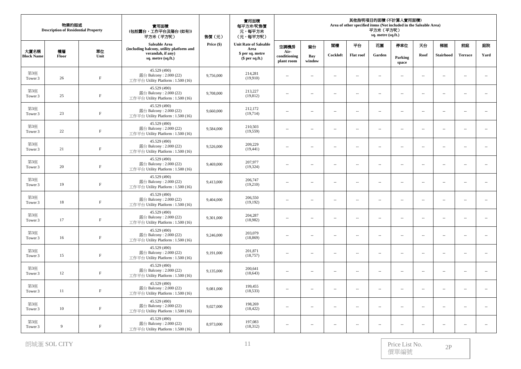| 物業的描述<br>實用面積<br><b>Description of Residential Property</b><br>(包括露台,工作平台及陽台(如有))<br>平方米 (平方呎) |                |              |                                                                              | 售價(元)      | 實用面積<br>每平方米/呎售價<br>元,每平方米<br>(元,每平方呎) | 其他指明項目的面積 (不計算入實用面積)<br>Area of other specified items (Not included in the Saleable Area)<br>平方米 (平方呎)<br>sq. metre (sq.ft.) |                          |                             |                          |                          |                          |                          |                          |                          |                             |
|------------------------------------------------------------------------------------------------|----------------|--------------|------------------------------------------------------------------------------|------------|----------------------------------------|------------------------------------------------------------------------------------------------------------------------------|--------------------------|-----------------------------|--------------------------|--------------------------|--------------------------|--------------------------|--------------------------|--------------------------|-----------------------------|
|                                                                                                |                |              | Saleable Area<br>(including balcony, utility platform and                    | Price (\$) | <b>Unit Rate of Saleable</b><br>Area   | 空調機房                                                                                                                         | 窗台                       | 閣樓                          | 平台                       | 花園                       | 停車位                      | 天台                       | 梯屋                       | 前庭                       | 庭院                          |
| 大廈名稱<br><b>Block Name</b>                                                                      | 樓層<br>Floor    | 單位<br>Unit   | verandah, if any)<br>sq. metre (sq.ft.)                                      |            | \$ per sq. metre<br>$$$ per sq.ft.)    | Air-<br>conditioning<br>plant room                                                                                           | Bay<br>window            | Cockloft                    | <b>Flat roof</b>         | Garden                   | Parking<br>space         | Roof                     | <b>Stairhood</b>         | <b>Terrace</b>           | Yard                        |
| 第3座<br>Tower 3                                                                                 | 26             | $\, {\rm F}$ | 45.529 (490)<br>露台 Balcony: 2.000 (22)<br>工作平台 Utility Platform: 1.500 (16)  | 9,756,000  | 214,281<br>(19,910)                    | $\overline{\phantom{a}}$                                                                                                     | $\sim$                   | $\sim$                      | $\sim$                   | $\sim$                   | $\overline{\phantom{a}}$ | $\sim$                   | $\sim$                   | $\sim$                   | $\mathcal{L}_{\mathcal{A}}$ |
| 第3座<br>Tower 3                                                                                 | 25             | $\,$ F       | 45.529 (490)<br>露台 Balcony: 2.000 (22)<br>工作平台 Utility Platform: 1.500 (16)  | 9,708,000  | 213,227<br>(19, 812)                   | $\overline{\phantom{a}}$                                                                                                     | ÷.                       | $\sim$                      | $\overline{\phantom{a}}$ | $\overline{\phantom{a}}$ | $\overline{\phantom{a}}$ | $\sim$                   | $\sim$                   | $\sim$                   | $\overline{\phantom{a}}$    |
| 第3座<br>Tower 3                                                                                 | 23             | $\rm F$      | 45.529 (490)<br>露台 Balcony: 2.000 (22)<br>工作平台 Utility Platform: 1.500 (16)  | 9,660,000  | 212,172<br>(19,714)                    | $\cdots$                                                                                                                     | ÷.                       | $\sim$                      | $\overline{\phantom{a}}$ | $\sim$                   | $\overline{\phantom{a}}$ | $\sim$                   | $\sim$                   | $\sim$                   | $\overline{\phantom{a}}$    |
| 第3座<br>Tower 3                                                                                 | 22             | $\, {\rm F}$ | 45.529 (490)<br>露台 Balcony: 2.000 (22)<br>工作平台 Utility Platform: 1.500 (16)  | 9,584,000  | 210,503<br>(19, 559)                   | $\overline{\phantom{a}}$                                                                                                     | $\sim$                   | $\overline{a}$              | $\sim$ $-$               | $\sim$                   | $\overline{\phantom{a}}$ | $\sim$                   | $\sim$                   | $\overline{a}$           | $\sim$                      |
| 第3座<br>Tower 3                                                                                 | 21             | $\rm F$      | 45.529 (490)<br>露台 Balcony: 2.000 (22)<br>工作平台 Utility Platform: 1.500 (16)  | 9,526,000  | 209,229<br>(19, 441)                   | $\overline{\phantom{a}}$                                                                                                     | $\sim$                   | $\sim$                      | $\overline{\phantom{a}}$ | $\overline{\phantom{a}}$ | $\overline{\phantom{a}}$ | $\sim$                   | $\sim$                   | $\overline{\phantom{a}}$ | $\overline{\phantom{a}}$    |
| 第3座<br>Tower 3                                                                                 | 20             | $\rm F$      | 45.529 (490)<br>露台 Balcony: 2.000 (22)<br>工作平台 Utility Platform: 1.500 (16)  | 9,469,000  | 207,977<br>(19, 324)                   | $\overline{\phantom{a}}$                                                                                                     | $\overline{\phantom{a}}$ | $\overline{a}$              | $\ldots$                 | $\overline{\phantom{a}}$ | $\overline{\phantom{a}}$ | $\overline{\phantom{a}}$ | $\ldots$                 |                          | $\sim$                      |
| 第3座<br>Tower 3                                                                                 | 19             | $\, {\rm F}$ | 45.529 (490)<br>露台 Balcony: 2.000 (22)<br>工作平台 Utility Platform: 1.500 (16)  | 9,413,000  | 206,747<br>(19,210)                    | $\overline{\phantom{a}}$                                                                                                     | ÷.                       | $\sim$                      | $\overline{\phantom{a}}$ | $\sim$                   | $\overline{\phantom{a}}$ | $\sim$                   | $\sim$                   | $\sim$                   | $\overline{\phantom{a}}$    |
| 第3座<br>Tower 3                                                                                 | $18\,$         | $\, {\rm F}$ | 45.529 (490)<br>露台 Balcony: 2.000 (22)<br>工作平台 Utility Platform: 1.500 (16)  | 9,404,000  | 206,550<br>(19,192)                    | $\overline{\phantom{a}}$                                                                                                     | $\sim$                   | $\mathcal{L}_{\mathcal{A}}$ | $\sim$                   | $\overline{\phantom{a}}$ | $\overline{\phantom{a}}$ | $\sim$                   | $\sim$                   | $\sim$ $\sim$            | $\ldots$                    |
| 第3座<br>Tower 3                                                                                 | 17             | $\,$ F       | 45.529 (490)<br>露台 Balcony: 2.000 (22)<br>工作平台 Utility Platform: 1.500 (16)  | 9,301,000  | 204,287<br>(18,982)                    | $\overline{\phantom{a}}$                                                                                                     | $\sim$                   | $\overline{\phantom{a}}$    | $\overline{\phantom{a}}$ | $\overline{\phantom{a}}$ | $\overline{\phantom{a}}$ | $\sim$                   | $\sim$                   | $\overline{\phantom{a}}$ | $\overline{\phantom{a}}$    |
| 第3座<br>Tower 3                                                                                 | 16             | $\rm F$      | 45.529 (490)<br>露台 Balcony: 2.000 (22)<br>工作平台 Utility Platform : 1.500 (16) | 9,246,000  | 203,079<br>(18, 869)                   | $\cdots$                                                                                                                     | $\overline{\phantom{a}}$ | $\overline{a}$              | $\overline{\phantom{m}}$ | $\overline{\phantom{a}}$ | $\overline{\phantom{a}}$ | $\sim$                   | $\ldots$                 | $\overline{\phantom{a}}$ | $\mathcal{L}_{\mathcal{A}}$ |
| 第3座<br>Tower 3                                                                                 | 15             | $\, {\rm F}$ | 45.529 (490)<br>露台 Balcony: 2.000 (22)<br>工作平台 Utility Platform: 1.500 (16)  | 9,191,000  | 201,871<br>(18, 757)                   | $\overline{\phantom{a}}$                                                                                                     | $\overline{\phantom{a}}$ | $\overline{a}$              | $\sim$                   | $\overline{\phantom{a}}$ | $\overline{\phantom{a}}$ | $\overline{\phantom{a}}$ | $\overline{\phantom{a}}$ | $\sim$ $\sim$            | $\overline{\phantom{a}}$    |
| 第3座<br>Tower 3                                                                                 | 12             | $\,$ F       | 45.529 (490)<br>露台 Balcony: 2.000 (22)<br>工作平台 Utility Platform: 1.500 (16)  | 9,135,000  | 200,641<br>(18, 643)                   | $\overline{\phantom{a}}$                                                                                                     | $\sim$                   | $\overline{\phantom{a}}$    | $\sim$                   | $\overline{\phantom{a}}$ | $\overline{\phantom{a}}$ | $\sim$                   | $\sim$                   | $\overline{\phantom{a}}$ | $\overline{\phantom{a}}$    |
| 第3座<br>Tower 3                                                                                 | 11             | $\, {\rm F}$ | 45.529 (490)<br>露台 Balcony: 2.000 (22)<br>工作平台 Utility Platform: 1.500 (16)  | 9,081,000  | 199,455<br>(18, 533)                   | $\overline{\phantom{a}}$                                                                                                     | ÷.                       | $\sim$                      | $\overline{\phantom{a}}$ | $\overline{\phantom{a}}$ | $\overline{\phantom{a}}$ | $\overline{\phantom{a}}$ | $\ldots$                 | $\sim$                   | $\ldots$                    |
| 第3座<br>Tower 3                                                                                 | 10             | $\, {\rm F}$ | 45.529 (490)<br>露台 Balcony: 2.000 (22)<br>工作平台 Utility Platform: 1.500 (16)  | 9,027,000  | 198,269<br>(18, 422)                   | $\overline{\phantom{a}}$                                                                                                     | ÷.                       | $\sim$                      | $\overline{\phantom{a}}$ | $\sim$                   | $\overline{\phantom{a}}$ | $\sim$                   | $\sim$                   | $\sim$ $\sim$            | $\overline{\phantom{a}}$    |
| 第3座<br>Tower 3                                                                                 | $\overline{9}$ | $\rm F$      | 45.529 (490)<br>露台 Balcony: $2.000(22)$<br>工作平台 Utility Platform: 1.500 (16) | 8,973,000  | 197,083<br>(18, 312)                   | $\overline{\phantom{a}}$                                                                                                     | $\sim$                   | $\sim$                      | $\sim$                   | $\overline{\phantom{a}}$ | $\sim$                   | $\sim$                   | $\sim$                   | $\sim$                   | $\overline{a}$              |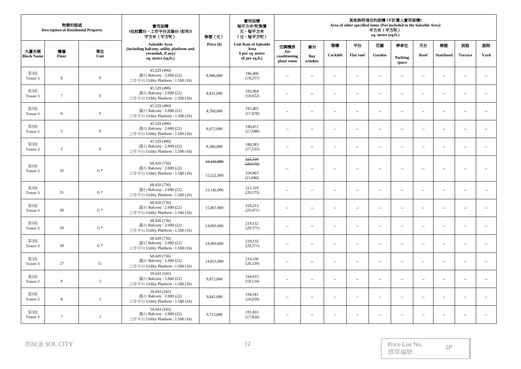| 物業的描述<br><b>Description of Residential Property</b> |                 |                | 實用面積<br>(包括露台,工作平台及陽台(如有))<br>平方米 (平方呎)                                     | 售價(元)      | 實用面積<br>每平方米/呎售價<br>元,每平方米<br>(元,每平方呎) |                                    |                          |          |                          | 平方米 (平方呎)<br>sq. metre (sq.ft.) | 其他指明項目的面積(不計算入實用面積)<br>Area of other specified items (Not included in the Saleable Area) |                          |                          |                          |                          |
|-----------------------------------------------------|-----------------|----------------|-----------------------------------------------------------------------------|------------|----------------------------------------|------------------------------------|--------------------------|----------|--------------------------|---------------------------------|------------------------------------------------------------------------------------------|--------------------------|--------------------------|--------------------------|--------------------------|
|                                                     |                 |                | Saleable Area<br>(including balcony, utility platform and                   | Price (\$) | <b>Unit Rate of Saleable</b><br>Area   | 空調機房                               | 窗台                       | 閣樓       | 平台                       | 花園                              | 停車位                                                                                      | 天台                       | 梯屋                       | 前庭                       | 庭院                       |
| 大廈名稱<br><b>Block Name</b>                           | 樓層<br>Floor     | 單位<br>Unit     | verandah, if any)<br>sq. metre (sq.ft.)                                     |            | \$ per sq. metre<br>$$$ per sq.ft.)    | Air-<br>conditioning<br>plant room | Bay<br>window            | Cockloft | <b>Flat roof</b>         | Garden                          | Parking<br>space                                                                         | Roof                     | <b>Stairhood</b>         | <b>Terrace</b>           | Yard                     |
| 第3座<br>Tower 3                                      | $\,$ 8 $\,$     | $\mathbf F$    | 45.529 (490)<br>露台 Balcony: 2.000 (22)<br>工作平台 Utility Platform: 1.500 (16) | 8,946,000  | 196,490<br>(18, 257)                   | $\overline{\phantom{a}}$           | $\sim$                   | $\sim$   | $\ldots$                 | $\sim$                          | $\overline{\phantom{a}}$                                                                 | $\overline{\phantom{a}}$ | $\ldots$                 | $\ldots$                 | $\sim$                   |
| 第3座<br>Tower 3                                      | $7\phantom{.0}$ | $\rm F$        | 45.529 (490)<br>露台 Balcony: 2.000 (22)<br>工作平台 Utility Platform: 1.500 (16) | 8,831,000  | 193,964<br>(18,022)                    | $\overline{\phantom{a}}$           | $\sim$                   | $\sim$   | $\overline{a}$           | $\overline{\phantom{a}}$        | $\overline{\phantom{a}}$                                                                 | $\overline{\phantom{a}}$ | $\overline{\phantom{a}}$ | $\sim$                   | ÷.                       |
| 第3座<br>Tower 3                                      | 6               | $\mathbf F$    | 45.529 (490)<br>露台 Balcony: 2.000 (22)<br>工作平台 Utility Platform: 1.500 (16) | 8,760,000  | 192,405<br>(17, 878)                   | $\overline{\phantom{a}}$           | $\sim$                   | $\sim$   | $\sim$                   | $\sim$                          | $\sim$                                                                                   | $\sim$                   | $\sim$                   | $\sim$                   | $\sim$                   |
| 第3座<br>Tower 3                                      | 5               | $\rm F$        | 45.529 (490)<br>露台 Balcony: 2.000 (22)<br>工作平台 Utility Platform: 1.500 (16) | 8,672,000  | 190,472<br>(17,698)                    | $\overline{\phantom{a}}$           | $\sim$                   | $\sim$   | $\sim$                   | $\overline{\phantom{a}}$        | $\overline{\phantom{a}}$                                                                 | $\sim$                   | $\sim$                   | $\sim$ $\sim$            | $\overline{\phantom{a}}$ |
| 第3座<br>Tower 3                                      | 3               | $\mathbf F$    | 45.529 (490)<br>露台 Balcony: 2.000 (22)<br>工作平台 Utility Platform: 1.500 (16) | 8,586,000  | 188,583<br>(17, 522)                   | --                                 | $\sim$                   | $\sim$   | $\overline{\phantom{a}}$ | $\sim$                          | $\cdots$                                                                                 | $\sim$                   | $\sim$                   | $\overline{a}$           | $\sim$                   |
| 第3座                                                 |                 |                | 68.420 (736)<br>露台 Balcony: 2.000 (22)                                      | 15,142,000 | 221,310<br>(20, 573)                   | Ξ.                                 | $\sim$                   | $\sim$   | $\sim$                   | $\sim$                          | $\overline{\phantom{a}}$                                                                 | $\overline{\phantom{a}}$ | $\sim$                   | $\overline{\phantom{a}}$ | ÷.                       |
| Tower 3                                             | 32              | $G*$           | 工作平台 Utility Platform: 1.500 (16)                                           | 15,522,000 | 226,863<br>(21,090)                    |                                    |                          |          |                          |                                 |                                                                                          |                          |                          |                          |                          |
| 第3座<br>Tower 3                                      | 31              | $\mathrm{G}$ * | 68.420 (736)<br>露台 Balcony: 2.000 (22)<br>工作平台 Utility Platform: 1.500 (16) | 15,142,000 | 221,310<br>(20,573)                    | $\overline{\phantom{a}}$           | $\sim$                   | $\sim$   | $\sim$                   | $\overline{\phantom{a}}$        | $\overline{\phantom{a}}$                                                                 | $\overline{\phantom{a}}$ | $\overline{\phantom{a}}$ | $\ddot{\phantom{a}}$     | $\sim$                   |
| 第3座<br>Tower 3                                      | 30              | $G^*$          | 68.420 (736)<br>露台 Balcony: 2.000 (22)<br>工作平台 Utility Platform: 1.500 (16) | 15,067,000 | 220,213<br>(20, 471)                   | $\overline{\phantom{a}}$           | $\sim$                   | $\sim$   | $\sim$                   | $\sim$                          | $\overline{\phantom{a}}$                                                                 | $\sim$                   | $\sim$                   | $\sim$                   | $\sim$                   |
| 第3座<br>Tower 3                                      | 29              | $\mathrm{G}$ * | 68.420 (736)<br>露台 Balcony: 2.000 (22)<br>工作平台 Utility Platform: 1.500 (16) | 14,993,000 | 219,132<br>(20, 371)                   | $\overline{a}$                     | $\sim$                   | $\sim$   | $\sim$                   | $\sim$                          | $\sim$                                                                                   | $\sim$                   | $\sim$                   | $\sim$ $\sim$            | $\sim$                   |
| 第3座<br>Tower 3                                      | 28              | $G*$           | 68.420 (736)<br>露台 Balcony: 2.000 (22)<br>工作平台 Utility Platform: 1.500 (16) | 14,993,000 | 219,132<br>(20, 371)                   | $\sim$                             | $\sim$                   | $\sim$   | $\sim$                   | $\sim$                          | $\overline{\phantom{a}}$                                                                 | $\sim$                   | $\sim$                   | $\sim$                   | $\overline{\phantom{a}}$ |
| 第3座<br>Tower 3                                      | 27              | ${\bf G}$      | 68.420 (736)<br>露台 Balcony: 2.000 (22)<br>工作平台 Utility Platform: 1.500 (16) | 14,815,000 | 216,530<br>(20, 129)                   | $\overline{\phantom{a}}$           | $\overline{\phantom{a}}$ | $\ldots$ | $\ldots$                 | $\sim$                          | $\overline{\phantom{a}}$                                                                 | $\overline{\phantom{a}}$ | $\ldots$                 | $\sim$                   | $\ldots$                 |
| 第3座<br>Tower 3                                      | 9               | $\mathbf{J}$   | 50.643 (545)<br>露台 Balcony: 2.000 (22)<br>工作平台 Utility Platform: 1.500 (16) | 9,872,000  | 194,933<br>(18, 114)                   | $\overline{\phantom{a}}$           | $\sim$                   | $\sim$   | $\sim$                   | $\sim$                          | $\overline{\phantom{a}}$                                                                 | $\sim$                   | $\sim$                   | $\sim$                   | $\overline{\phantom{a}}$ |
| 第3座<br>Tower 3                                      | $\,$ 8 $\,$     | $_{\rm J}$     | 50.643 (545)<br>露台 Balcony: 2.000 (22)<br>工作平台 Utility Platform: 1.500 (16) | 9,842,000  | 194,341<br>(18,059)                    | $\overline{\phantom{a}}$           | $\sim$                   | $\sim$   | $\overline{\phantom{a}}$ | $\overline{\phantom{a}}$        | $\overline{\phantom{a}}$                                                                 | $\sim$                   | $\sim$                   | $\overline{\phantom{a}}$ | $\overline{\phantom{a}}$ |
| 第3座<br>Tower 3                                      | $7\phantom{.0}$ | J              | 50.643 (545)<br>露台 Balcony: 2.000 (22)<br>工作平台 Utility Platform: 1.500 (16) | 9,715,000  | 191,833<br>(17, 826)                   | $\overline{a}$                     | $\sim$                   | $\sim$   | $\sim$                   | $\overline{\phantom{a}}$        | $\overline{\phantom{a}}$                                                                 | $\sim$                   | $\sim$                   | $\sim$ $\sim$            | $\sim$                   |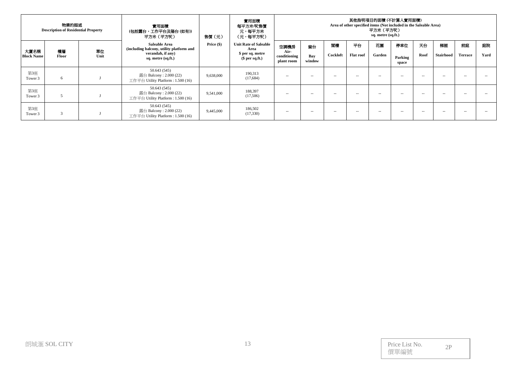|                   | 物業的描述<br><b>Description of Residential Property</b> |      | 實用面積<br>(包括露台,工作平台及陽台(如有))<br>平方米 (平方呎)                                         | 售價(元)      | 實用面積<br>每平方米/呎售價<br>元,每平方米<br>(元,每平方呎) | 其他指明項目的面積 (不計算人實用面積)<br>Area of other specified items (Not included in the Saleable Area)<br>平方米 (平方呎)<br>sq. metre (sq.ft.) |               |                                                                                                                                                                                                                                                                                                                                                                                                                                                                            |                                                                                                                                                                                                                                                                                                                                                                                                                                                                            |        |                  |        |               |                |      |
|-------------------|-----------------------------------------------------|------|---------------------------------------------------------------------------------|------------|----------------------------------------|------------------------------------------------------------------------------------------------------------------------------|---------------|----------------------------------------------------------------------------------------------------------------------------------------------------------------------------------------------------------------------------------------------------------------------------------------------------------------------------------------------------------------------------------------------------------------------------------------------------------------------------|----------------------------------------------------------------------------------------------------------------------------------------------------------------------------------------------------------------------------------------------------------------------------------------------------------------------------------------------------------------------------------------------------------------------------------------------------------------------------|--------|------------------|--------|---------------|----------------|------|
| 大廈名稱              | 樓層                                                  | 單位   | Saleable Area<br>(including balcony, utility platform and                       | Price (\$) | <b>Unit Rate of Saleable</b><br>Area   | 空調機房<br>Air-                                                                                                                 | 窗台            | 团模                                                                                                                                                                                                                                                                                                                                                                                                                                                                         | 平台                                                                                                                                                                                                                                                                                                                                                                                                                                                                         | 花園     | 停車位              | 天台     | 梯屋            | 前庭             | 庭院   |
| <b>Block Name</b> | Floor                                               | Unit | verandah, if any)<br>sq. metre (sq.ft.)                                         |            | \$ per sq. metre<br>$$$ per sq.ft.)    | conditioning<br>plant room                                                                                                   | Bay<br>window | Cockloft                                                                                                                                                                                                                                                                                                                                                                                                                                                                   | <b>Flat roof</b>                                                                                                                                                                                                                                                                                                                                                                                                                                                           | Garden | Parking<br>space | Roof   | Stairhood     | <b>Terrace</b> | Yard |
| 第3座<br>Tower 3    | 6                                                   |      | 50.643(545)<br>露台 Balcony : $2.000(22)$<br>工作平台 Utility Platform : $1.500(16)$  | 9,638,000  | 190,313<br>(17,684)                    | --                                                                                                                           | $\sim$        | $\frac{1}{2} \left( \frac{1}{2} \right) \left( \frac{1}{2} \right) \left( \frac{1}{2} \right) \left( \frac{1}{2} \right) \left( \frac{1}{2} \right) \left( \frac{1}{2} \right) \left( \frac{1}{2} \right) \left( \frac{1}{2} \right) \left( \frac{1}{2} \right) \left( \frac{1}{2} \right) \left( \frac{1}{2} \right) \left( \frac{1}{2} \right) \left( \frac{1}{2} \right) \left( \frac{1}{2} \right) \left( \frac{1}{2} \right) \left( \frac{1}{2} \right) \left( \frac$ | $\frac{1}{2} \left( \frac{1}{2} \right) \left( \frac{1}{2} \right) \left( \frac{1}{2} \right) \left( \frac{1}{2} \right) \left( \frac{1}{2} \right) \left( \frac{1}{2} \right) \left( \frac{1}{2} \right) \left( \frac{1}{2} \right) \left( \frac{1}{2} \right) \left( \frac{1}{2} \right) \left( \frac{1}{2} \right) \left( \frac{1}{2} \right) \left( \frac{1}{2} \right) \left( \frac{1}{2} \right) \left( \frac{1}{2} \right) \left( \frac{1}{2} \right) \left( \frac$ | $- -$  | $- -$            | $\sim$ | $\sim$ $\sim$ | $\sim$ $-$     | -    |
| 第3座<br>Tower 3    | 5                                                   |      | 50.643 (545)<br>露台 Balcony : $2.000(22)$<br>工作平台 Utility Platform : $1.500(16)$ | 9,541,000  | 188,397<br>(17,506)                    | --                                                                                                                           | $\sim$        | $\frac{1}{2} \left( \frac{1}{2} \right) \left( \frac{1}{2} \right) \left( \frac{1}{2} \right) \left( \frac{1}{2} \right) \left( \frac{1}{2} \right) \left( \frac{1}{2} \right) \left( \frac{1}{2} \right) \left( \frac{1}{2} \right) \left( \frac{1}{2} \right) \left( \frac{1}{2} \right) \left( \frac{1}{2} \right) \left( \frac{1}{2} \right) \left( \frac{1}{2} \right) \left( \frac{1}{2} \right) \left( \frac{1}{2} \right) \left( \frac{1}{2} \right) \left( \frac$ | $\frac{1}{2} \left( \frac{1}{2} \right) \left( \frac{1}{2} \right) \left( \frac{1}{2} \right) \left( \frac{1}{2} \right) \left( \frac{1}{2} \right) \left( \frac{1}{2} \right) \left( \frac{1}{2} \right) \left( \frac{1}{2} \right) \left( \frac{1}{2} \right) \left( \frac{1}{2} \right) \left( \frac{1}{2} \right) \left( \frac{1}{2} \right) \left( \frac{1}{2} \right) \left( \frac{1}{2} \right) \left( \frac{1}{2} \right) \left( \frac{1}{2} \right) \left( \frac$ | $- -$  | $- -$            | $\sim$ | $\sim$        | $\sim$ $-$     | -    |
| 第3座<br>Tower 3    | 3                                                   |      | 50.643 (545)<br>露台 Balcony : $2.000(22)$<br>工作平台 Utility Platform : $1.500(16)$ | 9,445,000  | 186,502<br>(17,330)                    | $- -$                                                                                                                        | $\sim$        | $\sim$ $-$                                                                                                                                                                                                                                                                                                                                                                                                                                                                 | $\frac{1}{2} \left( \frac{1}{2} \right) \left( \frac{1}{2} \right) \left( \frac{1}{2} \right) \left( \frac{1}{2} \right) \left( \frac{1}{2} \right) \left( \frac{1}{2} \right) \left( \frac{1}{2} \right) \left( \frac{1}{2} \right) \left( \frac{1}{2} \right) \left( \frac{1}{2} \right) \left( \frac{1}{2} \right) \left( \frac{1}{2} \right) \left( \frac{1}{2} \right) \left( \frac{1}{2} \right) \left( \frac{1}{2} \right) \left( \frac{1}{2} \right) \left( \frac$ | $- -$  | $- -$            | $\sim$ | $\sim$ $\sim$ | $\sim$ $-$     | --   |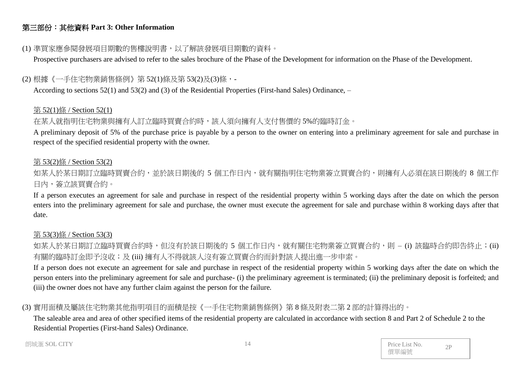# 第三部份:其他資料 **Part 3: Other Information**

## (1) 準買家應參閱發展項目期數的售樓說明書,以了解該發展項目期數的資料。

Prospective purchasers are advised to refer to the sales brochure of the Phase of the Development for information on the Phase of the Development.

## (2) 根據《一手住宅物業銷售條例》第 52(1)條及第 53(2)及(3)條,-

According to sections 52(1) and 53(2) and (3) of the Residential Properties (First-hand Sales) Ordinance, –

#### 第 52(1)條 / Section 52(1)

## 在某人就指明住宅物業與擁有人訂立臨時買賣合約時,該人須向擁有人支付售價的 5%的臨時訂金。

A preliminary deposit of 5% of the purchase price is payable by a person to the owner on entering into a preliminary agreement for sale and purchase in respect of the specified residential property with the owner.

#### 第 53(2)條 / Section 53(2)

如某人於某日期訂立臨時買賣合約,並於該日期後的 5 個工作日內,就有關指明住宅物業簽立買賣合約,則擁有人必須在該日期後的 8 個工作 日內,簽立該買賣合約。

If a person executes an agreement for sale and purchase in respect of the residential property within 5 working days after the date on which the person enters into the preliminary agreement for sale and purchase, the owner must execute the agreement for sale and purchase within 8 working days after that date.

#### 第 53(3)條 / Section 53(3)

如某人於某日期訂立臨時買賣合約時,但沒有於該日期後的 5 個工作日內,就有關住宅物業簽立買賣合約,則 – (i) 該臨時合約即告終止;(ii) 有關的臨時訂金即予沒收;及 (iii) 擁有人不得就該人沒有簽立買賣合約而針對該人提出進一步申索。

If a person does not execute an agreement for sale and purchase in respect of the residential property within 5 working days after the date on which the person enters into the preliminary agreement for sale and purchase- (i) the preliminary agreement is terminated; (ii) the preliminary deposit is forfeited; and (iii) the owner does not have any further claim against the person for the failure.

# (3) 實用面積及屬該住宅物業其他指明項目的面積是按《一手住宅物業銷售條例》第 8 條及附表二第 2 部的計算得出的。

The saleable area and area of other specified items of the residential property are calculated in accordance with section 8 and Part 2 of Schedule 2 to the Residential Properties (First-hand Sales) Ordinance.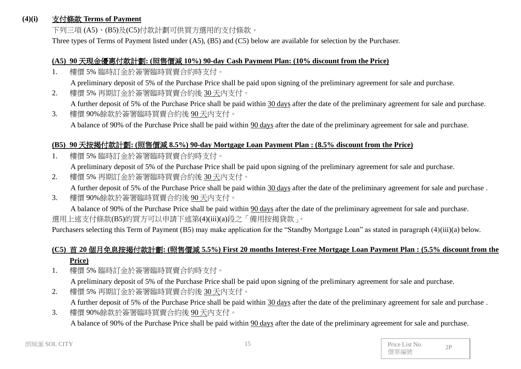#### **(4)(i)** 支付條款 **Terms of Payment**

下列三項 (A5)、(B5)及(C5)付款計劃可供買方選用的支付條款。

Three types of Terms of Payment listed under (A5), (B5) and (C5) below are available for selection by the Purchaser.

#### **(A5) 90** 天現金優惠付款計劃**: (**照售價減 **10%) 90-day Cash Payment Plan: (10% discount from the Price)**

1. 樓價 5% 臨時訂金於簽署臨時買賣合約時支付。

A preliminary deposit of 5% of the Purchase Price shall be paid upon signing of the preliminary agreement for sale and purchase.

2. 樓價 5% 再期訂金於簽署臨時買賣合約後 30 天內支付。

A further deposit of 5% of the Purchase Price shall be paid within 30 days after the date of the preliminary agreement for sale and purchase.

3. 樓價 90%餘款於簽署臨時買賣合約後 90 天內支付。 A balance of 90% of the Purchase Price shall be paid within 90 days after the date of the preliminary agreement for sale and purchase.

#### **(B5) 90** 天按揭付款計劃**: (**照售價減 **8.5%) 90-day Mortgage Loan Payment Plan : (8.5% discount from the Price)**

1. 樓價 5% 臨時訂金於簽署臨時買賣合約時支付。

A preliminary deposit of 5% of the Purchase Price shall be paid upon signing of the preliminary agreement for sale and purchase.

- 2. 樓價 5% 再期訂金於簽署臨時買賣合約後 30天內支付。 A further deposit of 5% of the Purchase Price shall be paid within 30 days after the date of the preliminary agreement for sale and purchase .
- 3. 樓價 90%餘款於簽署臨時買賣合約後 90 天內支付。

A balance of 90% of the Purchase Price shall be paid within 90 days after the date of the preliminary agreement for sale and purchase. 選用上述支付條款(B5)的買方可以申請下述第(4)(iii)(a)段之「備用按揭貸款」。

Purchasers selecting this Term of Payment (B5) may make application for the "Standby Mortgage Loan" as stated in paragraph (4)(iii)(a) below.

# **(C5)** 首 **20** 個月免息按揭付款計劃**: (**照售價減 **5.5%) First 20 months Interest-Free Mortgage Loan Payment Plan : (5.5% discount from the Price)**

- 1. 樓價 5% 臨時訂金於簽署臨時買賣合約時支付。 A preliminary deposit of 5% of the Purchase Price shall be paid upon signing of the preliminary agreement for sale and purchase.
- 2. 樓價 5% 再期訂金於簽署臨時買賣合約後 30 天內支付。 A further deposit of 5% of the Purchase Price shall be paid within 30 days after the date of the preliminary agreement for sale and purchase .
- 3. 樓價 90%餘款於簽署臨時買賣合約後 90 天內支付。 A balance of 90% of the Purchase Price shall be paid within 90 days after the date of the preliminary agreement for sale and purchase.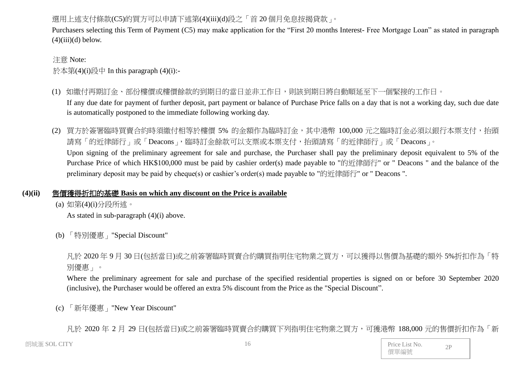# 選用上述支付條款(C5)的買方可以申請下述第(4)(iii)(d)段之「首20個月免息按揭貸款」。

Purchasers selecting this Term of Payment (C5) may make application for the "First 20 months Interest- Free Mortgage Loan" as stated in paragraph  $(4)(iii)(d)$  below.

#### 注意 Note:

於本第(4)(i)段中 In this paragraph (4)(i):-

- (1) 如繳付再期訂金、部份樓價或樓價餘款的到期日的當日並非工作日,則該到期日將自動順延至下一個緊接的工作日。 If any due date for payment of further deposit, part payment or balance of Purchase Price falls on a day that is not a working day, such due date is automatically postponed to the immediate following working day.
- (2) 買方於簽署臨時買賣合約時須繳付相等於樓價 5% 的金額作為臨時訂金,其中港幣 100,000 元之臨時訂金必須以銀行本票支付,抬頭 請寫「的近律師行」或「Deacons」,臨時訂金餘款可以支票或本票支付,抬頭請寫「的近律師行」或「Deacons」。 Upon signing of the preliminary agreement for sale and purchase, the Purchaser shall pay the preliminary deposit equivalent to 5% of the Purchase Price of which HK\$100,000 must be paid by cashier order(s) made payable to "的近律師行" or " Deacons " and the balance of the preliminary deposit may be paid by cheque(s) or cashier's order(s) made payable to "的近律師行" or " Deacons ".

# **(4)(ii)** 售價獲得折扣的基礎 **Basis on which any discount on the Price is available**

(a) 如第(4)(i)分段所述。

As stated in sub-paragraph (4)(i) above.

(b) 「特別優惠」"Special Discount"

凡於 2020 年 9 月 30 日(包括當日)或之前簽署臨時買賣合約購買指明住宅物業之買方,可以獲得以售價為基礎的額外 5%折扣作為「特 別優惠」。

Where the preliminary agreement for sale and purchase of the specified residential properties is signed on or before 30 September 2020 (inclusive), the Purchaser would be offered an extra 5% discount from the Price as the "Special Discount".

(c) 「新年優惠」"New Year Discount"

凡於 2020 年 2 月 29 日(包括當日)或之前簽署臨時買賣合約購買下列指明住宅物業之買方,可獲港幣 188,000 元的售價折扣作為「新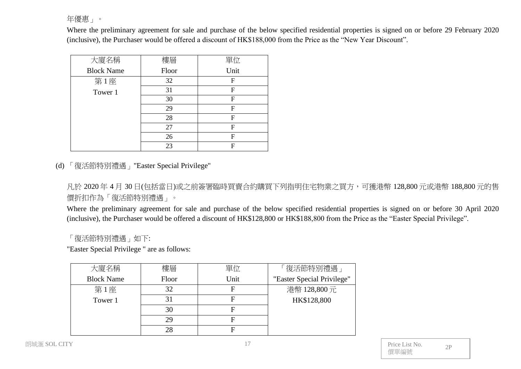年優惠」。

Where the preliminary agreement for sale and purchase of the below specified residential properties is signed on or before 29 February 2020 (inclusive), the Purchaser would be offered a discount of HK\$188,000 from the Price as the "New Year Discount".

| 大廈名稱              | 樓層    | 單位   |
|-------------------|-------|------|
| <b>Block Name</b> | Floor | Unit |
| 第1座               | 32    | F    |
| Tower 1           | 31    | F    |
|                   | 30    | F    |
|                   | 29    | F    |
|                   | 28    | F    |
|                   | 27    | F    |
|                   | 26    | F    |
|                   | 23    | F    |

(d) 「復活節特別禮遇」"Easter Special Privilege"

凡於 2020 年 4 月 30 日(包括當日)或之前簽署臨時買賣合約購買下列指明住宅物業之買方,可獲港幣 128,800 元或港幣 188,800 元的售 價折扣作為「復活節特別禮遇」。

Where the preliminary agreement for sale and purchase of the below specified residential properties is signed on or before 30 April 2020 (inclusive), the Purchaser would be offered a discount of HK\$128,800 or HK\$188,800 from the Price as the "Easter Special Privilege".

# 「復活節特別禮遇」如下:

"Easter Special Privilege " are as follows:

| 大廈名稱              | 樓層    | 單位   | 「復活節特別禮遇」                  |
|-------------------|-------|------|----------------------------|
| <b>Block Name</b> | Floor | Unit | "Easter Special Privilege" |
| 第1座               | 32    |      | 港幣 128,800元                |
| Tower 1           |       |      | HK\$128,800                |
|                   | 30    |      |                            |
|                   | 29    |      |                            |
|                   | 28    |      |                            |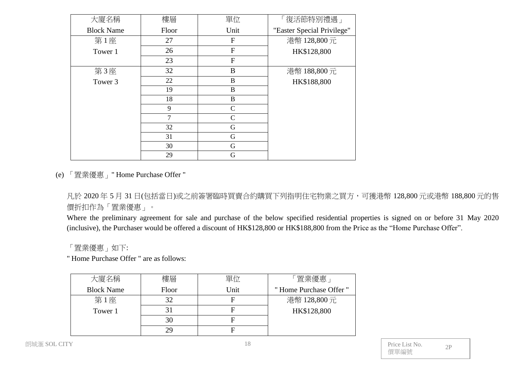| 大廈名稱              | 樓層     | 單位             | 「復活節特別禮遇」                  |
|-------------------|--------|----------------|----------------------------|
| <b>Block Name</b> | Floor  | Unit           | "Easter Special Privilege" |
| 第1座               | 27     | $\mathbf{F}$   | 港幣 128,800元                |
| Tower 1           | 26     | F              | HK\$128,800                |
|                   | 23     | $\overline{F}$ |                            |
| 第3座               | 32     | B              | 港幣 188,800元                |
| Tower 3           | 22     | $\bf{B}$       | HK\$188,800                |
|                   | 19     | B              |                            |
|                   | 18     | $\bf{B}$       |                            |
|                   | 9      | $\mathcal{C}$  |                            |
|                   | $\tau$ | $\mathbf C$    |                            |
|                   | 32     | G              |                            |
|                   | 31     | G              |                            |
|                   | 30     | G              |                            |
|                   | 29     | G              |                            |

(e) 「置業優惠」" Home Purchase Offer "

凡於 2020 年 5 月 31 日(包括當日)或之前簽署臨時買賣合約購買下列指明住宅物業之買方,可獲港幣 128,800 元或港幣 188,800 元的售 價折扣作為「置業優惠」。

Where the preliminary agreement for sale and purchase of the below specified residential properties is signed on or before 31 May 2020 (inclusive), the Purchaser would be offered a discount of HK\$128,800 or HK\$188,800 from the Price as the "Home Purchase Offer".

「置業優惠」如下:

" Home Purchase Offer " are as follows:

| 大廈名稱              | 樓層    | 單位   | 「置業優惠」                |
|-------------------|-------|------|-----------------------|
| <b>Block Name</b> | Floor | Unit | "Home Purchase Offer" |
| 第1座               | 32    |      | 港幣 128,800元           |
| Tower 1           |       |      | HK\$128,800           |
|                   | 30    |      |                       |
|                   | 29    |      |                       |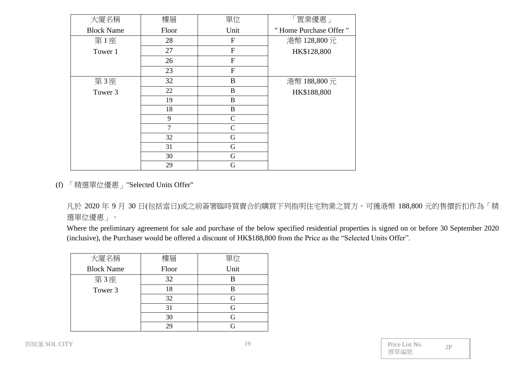| 大廈名稱              | 樓層             | 單位               | 「置業優惠」                |
|-------------------|----------------|------------------|-----------------------|
| <b>Block Name</b> | Floor          | Unit             | "Home Purchase Offer" |
| 第1座               | 28             | $\mathbf{F}$     | 港幣 128,800元           |
| Tower 1           | 27             | $\overline{F}$   | HK\$128,800           |
|                   | 26             | $\overline{F}$   |                       |
|                   | 23             | $\overline{F}$   |                       |
| 第3座               | 32             | $\bf{B}$         | 港幣 188,800元           |
| Tower 3           | 22             | $\boldsymbol{B}$ | HK\$188,800           |
|                   | 19             | $\bf{B}$         |                       |
|                   | 18             | $\bf{B}$         |                       |
|                   | 9              | $\mathbf C$      |                       |
|                   | $\overline{7}$ | $\mathcal{C}$    |                       |
|                   | 32             | G                |                       |
|                   | 31             | $\mathbf G$      |                       |
|                   | 30             | $\mathbf G$      |                       |
|                   | 29             | G                |                       |

(f) 「精選單位優惠」"Selected Units Offer"

凡於 2020 年 9 月 30 日(包括當日)或之前簽署臨時買賣合約購買下列指明住宅物業之買方,可獲港幣 188,800 元的售價折扣作為「精 選單位優惠」。

Where the preliminary agreement for sale and purchase of the below specified residential properties is signed on or before 30 September 2020 (inclusive), the Purchaser would be offered a discount of HK\$188,800 from the Price as the "Selected Units Offer".

| 大廈名稱              | 樓層    | 單位   |
|-------------------|-------|------|
| <b>Block Name</b> | Floor | Unit |
| 第3座               | 32    |      |
| Tower 3           | 18    | R    |
|                   | 32    | G    |
|                   | 31    |      |
|                   | 30    |      |
|                   |       |      |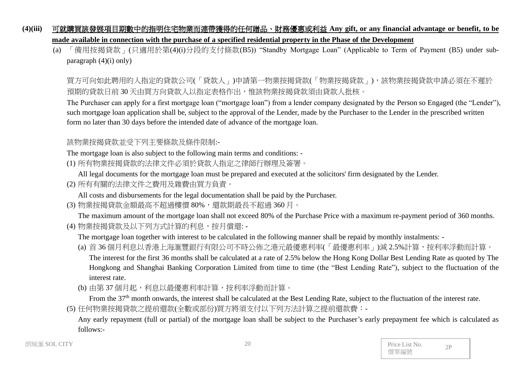# **(4)(iii)** 可就購買該發展項目期數中的指明住宅物業而連帶獲得的任何贈品、財務優惠或利益 **Any gift, or any financial advantage or benefit, to be made available in connection with the purchase of a specified residential property in the Phase of the Development**

(a) 「備用按揭貸款」(只適用於第(4)(i)分段的支付條款(B5)) "Standby Mortgage Loan" (Applicable to Term of Payment (B5) under subparagraph  $(4)(i)$  only)

買方可向如此聘用的人指定的貸款公司(「貸款人」)申請第一物業按揭貸款(「物業按揭貸款」),該物業按揭貸款申請必須在不遲於 預期的貸款日前 30 天由買方向貸款人以指定表格作出,惟該物業按揭貸款須由貸款人批核。

The Purchaser can apply for a first mortgage loan ("mortgage loan") from a lender company designated by the Person so Engaged (the "Lender"), such mortgage loan application shall be, subject to the approval of the Lender, made by the Purchaser to the Lender in the prescribed written form no later than 30 days before the intended date of advance of the mortgage loan.

## 該物業按揭貸款並受下列主要條款及條件限制:-

The mortgage loan is also subject to the following main terms and conditions: -

(1) 所有物業按揭貸款的法律文件必須於貸款人指定之律師行辦理及簽署。

All legal documents for the mortgage loan must be prepared and executed at the solicitors' firm designated by the Lender.

(2) 所有有關的法律文件之費用及雜費由買方負責。

All costs and disbursements for the legal documentation shall be paid by the Purchaser.

(3) 物業按揭貸款金額最高不超過樓價 80%,還款期最長不超過 360 月。

The maximum amount of the mortgage loan shall not exceed 80% of the Purchase Price with a maximum re-payment period of 360 months.

(4) 物業按揭貸款及以下列方式計算的利息,按月償還: -

The mortgage loan together with interest to be calculated in the following manner shall be repaid by monthly instalments: -

- (a) 首 36 個月利息以香港上海滙豐銀行有限公司不時公佈之港元最優惠利率(「最優惠利率」)減 2.5%計算,按利率浮動而計算。 The interest for the first 36 months shall be calculated at a rate of 2.5% below the Hong Kong Dollar Best Lending Rate as quoted by The Hongkong and Shanghai Banking Corporation Limited from time to time (the "Best Lending Rate"), subject to the fluctuation of the interest rate.
- (b) 由第 37 個月起,利息以最優惠利率計算,按利率浮動而計算。

From the 37<sup>th</sup> month onwards, the interest shall be calculated at the Best Lending Rate, subject to the fluctuation of the interest rate.

(5) 任何物業按揭貸款之提前還款(全數或部份)買方將須支付以下列方法計算之提前還款費:-

Any early repayment (full or partial) of the mortgage loan shall be subject to the Purchaser's early prepayment fee which is calculated as follows:-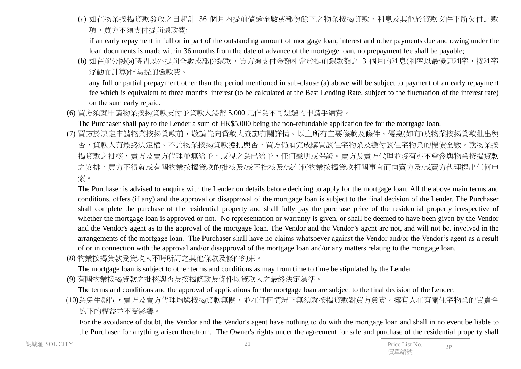(a) 如在物業按揭貸款發放之日起計 36 個月內提前償還全數或部份餘下之物業按揭貸款、利息及其他於貸款文件下所欠付之款 項,買方不須支付提前還款費;

if an early repayment in full or in part of the outstanding amount of mortgage loan, interest and other payments due and owing under the loan documents is made within 36 months from the date of advance of the mortgage loan, no prepayment fee shall be payable;

(b) 如在前分段(a)時間以外提前全數或部份還款,買方須支付金額相當於提前還款額之 3 個月的利息(利率以最優惠利率,按利率 浮動而計算)作為提前還款費。

any full or partial prepayment other than the period mentioned in sub-clause (a) above will be subject to payment of an early repayment fee which is equivalent to three months' interest (to be calculated at the Best Lending Rate, subject to the fluctuation of the interest rate) on the sum early repaid.

(6) 買方須就申請物業按揭貸款支付予貸款人港幣 5,000 元作為不可退還的申請手續費。

The Purchaser shall pay to the Lender a sum of HK\$5,000 being the non-refundable application fee for the mortgage loan.

(7) 買方於決定申請物業按揭貸款前,敬請先向貸款人查詢有關詳情。以上所有主要條款及條件、優惠(如有)及物業按揭貸款批出與 否,貸款人有最終決定權。不論物業按揭貸款獲批與否,買方仍須完成購買該住宅物業及繳付該住宅物業的樓價全數。就物業按 揭貸款之批核,賣方及賣方代理並無給予,或視之為已給予,任何聲明或保證。賣方及賣方代理並沒有亦不會參與物業按揭貸款 之安排。買方不得就或有關物業按揭貸款的批核及/或不批核及/或任何物業按揭貸款相關事宜而向賣方及/或賣方代理提出任何申 索。

The Purchaser is advised to enquire with the Lender on details before deciding to apply for the mortgage loan. All the above main terms and conditions, offers (if any) and the approval or disapproval of the mortgage loan is subject to the final decision of the Lender. The Purchaser shall complete the purchase of the residential property and shall fully pay the purchase price of the residential property irrespective of whether the mortgage loan is approved or not. No representation or warranty is given, or shall be deemed to have been given by the Vendor and the Vendor's agent as to the approval of the mortgage loan. The Vendor and the Vendor's agent are not, and will not be, involved in the arrangements of the mortgage loan. The Purchaser shall have no claims whatsoever against the Vendor and/or the Vendor's agent as a result of or in connection with the approval and/or disapproval of the mortgage loan and/or any matters relating to the mortgage loan.

(8) 物業按揭貸款受貸款人不時所訂之其他條款及條件約束。

The mortgage loan is subject to other terms and conditions as may from time to time be stipulated by the Lender.

(9) 有關物業按揭貸款之批核與否及按揭條款及條件以貸款人之最終決定為準。

The terms and conditions and the approval of applications for the mortgage loan are subject to the final decision of the Lender.

(10)為免生疑問,賣方及賣方代理均與按揭貸款無關,並在任何情況下無須就按揭貸款對買方負責。擁有人在有關住宅物業的買賣合 約下的權益並不受影響。

For the avoidance of doubt, the Vendor and the Vendor's agent have nothing to do with the mortgage loan and shall in no event be liable to the Purchaser for anything arisen therefrom. The Owner's rights under the agreement for sale and purchase of the residential property shall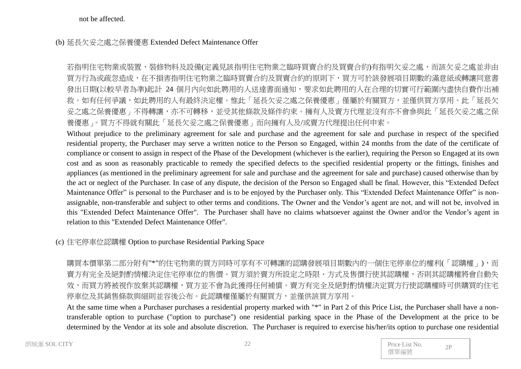not be affected.

#### (b) 延長欠妥之處之保養優惠 Extended Defect Maintenance Offer

若指明住宅物業或裝置、裝修物料及設備(定義見該指明住宅物業之臨時買賣合約及買賣合約)有指明欠妥之處,而該欠妥之處並非由 買方行為或疏忽造成,在不損害指明住宅物業之臨時買賣合約及買賣合約的原則下,買方可於該發展項目期數的滿意紙或轉讓同意書 發出日期(以較早者為準)起計 24 個月內向如此聘用的人送達書面通知,要求如此聘用的人在合理的切實可行範圍內盡快自費作出補 救。如有任何爭議,如此聘用的人有最終決定權。惟此「延長欠妥之處之保養優惠」僅屬於有關買方,並僅供買方享用。此「延長欠 妥之處之保養優惠」不得轉讓,亦不可轉移,並受其他條款及條件約束。擁有人及賣方代理並沒有亦不會參與此「延長欠妥之處之保 養優惠」。買方不得就有關此「延長欠妥之處之保養優惠」而向擁有人及/或賣方代理提出任何申索。

Without prejudice to the preliminary agreement for sale and purchase and the agreement for sale and purchase in respect of the specified residential property, the Purchaser may serve a written notice to the Person so Engaged, within 24 months from the date of the certificate of compliance or consent to assign in respect of the Phase of the Development (whichever is the earlier), requiring the Person so Engaged at its own cost and as soon as reasonably practicable to remedy the specified defects to the specified residential property or the fittings, finishes and appliances (as mentioned in the preliminary agreement for sale and purchase and the agreement for sale and purchase) caused otherwise than by the act or neglect of the Purchaser. In case of any dispute, the decision of the Person so Engaged shall be final. However, this "Extended Defect Maintenance Offer" is personal to the Purchaser and is to be enjoyed by the Purchaser only. This "Extended Defect Maintenance Offer" is nonassignable, non-transferable and subject to other terms and conditions. The Owner and the Vendor's agent are not, and will not be, involved in this "Extended Defect Maintenance Offer". The Purchaser shall have no claims whatsoever against the Owner and/or the Vendor's agent in relation to this "Extended Defect Maintenance Offer".

#### (c) 住宅停車位認購權 Option to purchase Residential Parking Space

購買本價單第二部分附有"\*"的住宅物業的買方同時可享有不可轉讓的認購發展項目期數內的一個住宅停車位的權利(「認購權」),而 賣方有完全及絕對酌情權決定住宅停車位的售價。買方須於賣方所設定之時限、方式及售價行使其認購權,否則其認購權將會自動失 效,而買方將被視作放棄其認購權,買方並不會為此獲得任何補償。賣方有完全及絕對酌情權決定買方行使認購權時可供購買的住宅 停車位及其銷售條款與細則並容後公布。此認購權僅屬於有關買方,並僅供該買方享用。

At the same time when a Purchaser purchases a residential property marked with "\*" in Part 2 of this Price List, the Purchaser shall have a nontransferable option to purchase ("option to purchase") one residential parking space in the Phase of the Development at the price to be determined by the Vendor at its sole and absolute discretion. The Purchaser is required to exercise his/her/its option to purchase one residential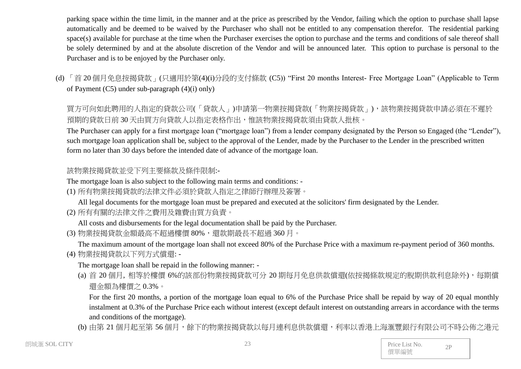parking space within the time limit, in the manner and at the price as prescribed by the Vendor, failing which the option to purchase shall lapse automatically and be deemed to be waived by the Purchaser who shall not be entitled to any compensation therefor. The residential parking space(s) available for purchase at the time when the Purchaser exercises the option to purchase and the terms and conditions of sale thereof shall be solely determined by and at the absolute discretion of the Vendor and will be announced later. This option to purchase is personal to the Purchaser and is to be enjoyed by the Purchaser only.

(d) 「首 20 個月免息按揭貸款」(只適用於第(4)(i)分段的支付條款 (C5)) "First 20 months Interest- Free Mortgage Loan" (Applicable to Term of Payment (C5) under sub-paragraph (4)(i) only)

買方可向如此聘用的人指定的貸款公司(「貸款人」)申請第一物業按揭貸款(「物業按揭貸款」),該物業按揭貸款申請必須在不遲於 預期的貸款日前 30 天由買方向貸款人以指定表格作出,惟該物業按揭貸款須由貸款人批核。

The Purchaser can apply for a first mortgage loan ("mortgage loan") from a lender company designated by the Person so Engaged (the "Lender"), such mortgage loan application shall be, subject to the approval of the Lender, made by the Purchaser to the Lender in the prescribed written form no later than 30 days before the intended date of advance of the mortgage loan.

# 該物業按揭貸款並受下列主要條款及條件限制:-

The mortgage loan is also subject to the following main terms and conditions: -

(1) 所有物業按揭貸款的法律文件必須於貸款人指定之律師行辦理及簽署。

All legal documents for the mortgage loan must be prepared and executed at the solicitors' firm designated by the Lender.

(2) 所有有關的法律文件之費用及雜費由買方負責。

All costs and disbursements for the legal documentation shall be paid by the Purchaser.

(3) 物業按揭貸款金額最高不超過樓價 80%,還款期最長不超過 360 月。

The maximum amount of the mortgage loan shall not exceed 80% of the Purchase Price with a maximum re-payment period of 360 months. (4) 物業按揭貸款以下列方式償還: -

The mortgage loan shall be repaid in the following manner: -

(a) 首 20 個月, 相等於樓價 6%的該部份物業按揭貸款可分 20 期每月免息供款償還(依按揭條款規定的脫期供款利息除外),每期償 還金額為樓價之 0.3%。

For the first 20 months, a portion of the mortgage loan equal to 6% of the Purchase Price shall be repaid by way of 20 equal monthly instalment at 0.3% of the Purchase Price each without interest (except default interest on outstanding arrears in accordance with the terms and conditions of the mortgage).

(b) 由第 21 個月起至第 56 個月,餘下的物業按揭貸款以每月連利息供款償還,利率以香港上海滙豐銀行有限公司不時公佈之港元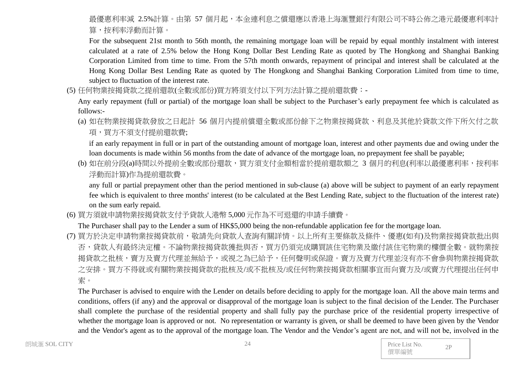最優惠利率減 2.5%計算。由第 57 個月起,本金連利息之償還應以香港上海滙豐銀行有限公司不時公佈之港元最優惠利率計 算,按利率浮動而計算。

For the subsequent 21st month to 56th month, the remaining mortgage loan will be repaid by equal monthly instalment with interest calculated at a rate of 2.5% below the Hong Kong Dollar Best Lending Rate as quoted by The Hongkong and Shanghai Banking Corporation Limited from time to time. From the 57th month onwards, repayment of principal and interest shall be calculated at the Hong Kong Dollar Best Lending Rate as quoted by The Hongkong and Shanghai Banking Corporation Limited from time to time, subject to fluctuation of the interest rate.

(5) 任何物業按揭貸款之提前還款(全數或部份)買方將須支付以下列方法計算之提前還款費:-

Any early repayment (full or partial) of the mortgage loan shall be subject to the Purchaser's early prepayment fee which is calculated as follows:-

(a) 如在物業按揭貸款發放之日起計 56 個月內提前償還全數或部份餘下之物業按揭貸款、利息及其他於貸款文件下所欠付之款 項,買方不須支付提前還款費;

if an early repayment in full or in part of the outstanding amount of mortgage loan, interest and other payments due and owing under the loan documents is made within 56 months from the date of advance of the mortgage loan, no prepayment fee shall be payable;

(b) 如在前分段(a)時間以外提前全數或部份還款,買方須支付金額相當於提前還款額之 3 個月的利息(利率以最優惠利率,按利率 浮動而計算)作為提前還款費。

any full or partial prepayment other than the period mentioned in sub-clause (a) above will be subject to payment of an early repayment fee which is equivalent to three months' interest (to be calculated at the Best Lending Rate, subject to the fluctuation of the interest rate) on the sum early repaid.

(6) 買方須就申請物業按揭貸款支付予貸款人港幣 5,000 元作為不可退還的申請手續費。

The Purchaser shall pay to the Lender a sum of HK\$5,000 being the non-refundable application fee for the mortgage loan.

(7) 買方於決定申請物業按揭貸款前,敬請先向貸款人查詢有關詳情。以上所有主要條款及條件、優惠(如有)及物業按揭貸款批出與 否,貸款人有最終決定權。不論物業按揭貸款獲批與否,買方仍須完成購買該住宅物業及繳付該住宅物業的樓價全數。就物業按 揭貸款之批核,賣方及賣方代理並無給予,或視之為已給予,任何聲明或保證。賣方及賣方代理並沒有亦不會參與物業按揭貸款 之安排。買方不得就或有關物業按揭貸款的批核及/或不批核及/或任何物業按揭貸款相關事宜而向賣方及/或賣方代理提出任何申 索。

The Purchaser is advised to enquire with the Lender on details before deciding to apply for the mortgage loan. All the above main terms and conditions, offers (if any) and the approval or disapproval of the mortgage loan is subject to the final decision of the Lender. The Purchaser shall complete the purchase of the residential property and shall fully pay the purchase price of the residential property irrespective of whether the mortgage loan is approved or not. No representation or warranty is given, or shall be deemed to have been given by the Vendor and the Vendor's agent as to the approval of the mortgage loan. The Vendor and the Vendor's agent are not, and will not be, involved in the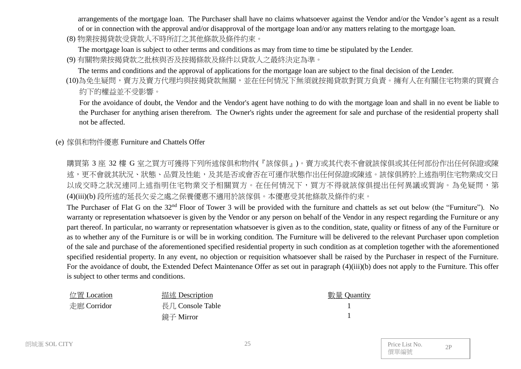arrangements of the mortgage loan. The Purchaser shall have no claims whatsoever against the Vendor and/or the Vendor's agent as a result of or in connection with the approval and/or disapproval of the mortgage loan and/or any matters relating to the mortgage loan.

(8) 物業按揭貸款受貸款人不時所訂之其他條款及條件約束。

The mortgage loan is subject to other terms and conditions as may from time to time be stipulated by the Lender.

(9) 有關物業按揭貸款之批核與否及按揭條款及條件以貸款人之最終決定為準。

The terms and conditions and the approval of applications for the mortgage loan are subject to the final decision of the Lender.

(10)為免生疑問,賣方及賣方代理均與按揭貸款無關,並在任何情況下無須就按揭貸款對買方負責。擁有人在有關住宅物業的買賣合 約下的權益並不受影響。

For the avoidance of doubt, the Vendor and the Vendor's agent have nothing to do with the mortgage loan and shall in no event be liable to the Purchaser for anything arisen therefrom. The Owner's rights under the agreement for sale and purchase of the residential property shall not be affected.

(e) 傢俱和物件優惠 Furniture and Chattels Offer

購買第 3 座 32 樓 G 室之買方可獲得下列所述傢俱和物件(『該傢俱』)。賣方或其代表不會就該傢俱或其任何部份作出任何保證或陳 述,更不會就其狀況、狀態、品質及性能,及其是否或會否在可運作狀態作出任何保證或陳述。該傢俱將於上述指明住宅物業成交日 以成交時之狀況連同上述指明住宅物業交予相關買方。在任何情況下,買方不得就該傢俱提出任何異議或質詢。為免疑問,第 (4)(iii)(b) 段所述的延長欠妥之處之保養優惠不適用於該傢俱。本優惠受其他條款及條件約束。

The Purchaser of Flat G on the 32<sup>nd</sup> Floor of Tower 3 will be provided with the furniture and chattels as set out below (the "Furniture"). No warranty or representation whatsoever is given by the Vendor or any person on behalf of the Vendor in any respect regarding the Furniture or any part thereof. In particular, no warranty or representation whatsoever is given as to the condition, state, quality or fitness of any of the Furniture or as to whether any of the Furniture is or will be in working condition. The Furniture will be delivered to the relevant Purchaser upon completion of the sale and purchase of the aforementioned specified residential property in such condition as at completion together with the aforementioned specified residential property. In any event, no objection or requisition whatsoever shall be raised by the Purchaser in respect of the Furniture. For the avoidance of doubt, the Extended Defect Maintenance Offer as set out in paragraph (4)(iii)(b) does not apply to the Furniture. This offer is subject to other terms and conditions.

位置 Location 描述 Description 數量 Quantity 走廊 Corridor 長几 Console Table 鏡子 Mirror

1 1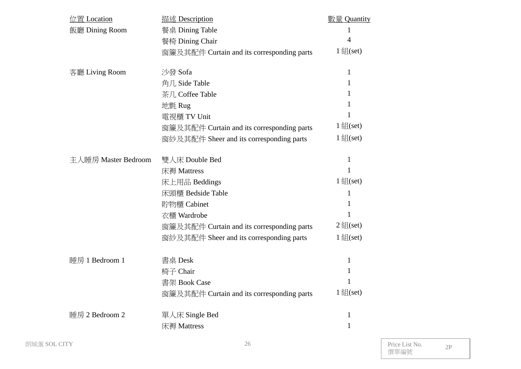| 位置 Location         | 描述 Description                             | <b>數量 Quantity</b> |
|---------------------|--------------------------------------------|--------------------|
| 飯廳 Dining Room      | 餐桌 Dining Table                            | 1                  |
|                     | 餐椅 Dining Chair                            | 4                  |
|                     | 窗簾及其配件 Curtain and its corresponding parts | $1 \nleq (set)$    |
| 客廳 Living Room      | 沙發 Sofa                                    | $\mathbf{1}$       |
|                     | 角几 Side Table                              | 1                  |
|                     | 茶几 Coffee Table                            | 1                  |
|                     | 地氈 Rug                                     | 1                  |
|                     | 電視櫃 TV Unit                                | 1                  |
|                     | 窗簾及其配件 Curtain and its corresponding parts | $1 \nleq (set)$    |
|                     | 窗紗及其配件 Sheer and its corresponding parts   | $1 \nleq (set)$    |
| 主人睡房 Master Bedroom | 雙人床 Double Bed                             | $\mathbf{1}$       |
|                     | 床褥 Mattress                                | $\mathbf{1}$       |
|                     | 床上用品 Beddings                              | $1 \nleq (set)$    |
|                     | 床頭櫃 Bedside Table                          | 1                  |
|                     | 貯物櫃 Cabinet                                | 1                  |
|                     | 衣櫃 Wardrobe                                | 1                  |
|                     | 窗簾及其配件 Curtain and its corresponding parts | $2 \times (set)$   |
|                     | 窗紗及其配件 Sheer and its corresponding parts   | $1 \nleq (set)$    |
| 睡房 1 Bedroom 1      | 書桌 Desk                                    | $\mathbf{1}$       |
|                     | 椅子 Chair                                   | 1                  |
|                     | 書架 Book Case                               | 1                  |
|                     | 窗簾及其配件 Curtain and its corresponding parts | $1 \nleq (set)$    |
| 睡房 2 Bedroom 2      | 單人床 Single Bed                             | 1                  |
|                     | 床褥 Mattress                                | 1                  |
|                     |                                            |                    |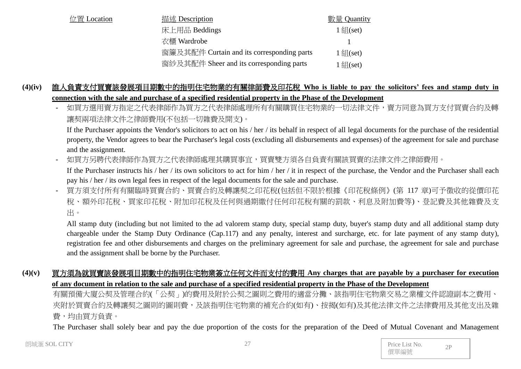| 位置 Location | 描述 Description                             | 數量 Quantity           |
|-------------|--------------------------------------------|-----------------------|
|             | 床上用品 Beddings                              | $1 \frac{2}{3}$ (set) |
|             | 衣櫃 Wardrobe                                |                       |
|             | 窗簾及其配件 Curtain and its corresponding parts | 1 $f(x)$ (set)        |
|             | 窗紗及其配件 Sheer and its corresponding parts   | $1 \frac{2}{3}$ (set) |

# **(4)(iv)** 誰人負責支付買賣該發展項目期數中的指明住宅物業的有關律師費及印花稅 **Who is liable to pay the solicitors' fees and stamp duty in connection with the sale and purchase of a specified residential property in the Phase of the Development**

如買方選用賣方指定之代表律師處理所有有關購買住宅物業的一切法律文件,賣方同意為買方支付買賣合約及轉 讓契兩項法律文件之律師費用(不包括一切雜費及開支)。

If the Purchaser appoints the Vendor's solicitors to act on his / her / its behalf in respect of all legal documents for the purchase of the residential property, the Vendor agrees to bear the Purchaser's legal costs (excluding all disbursements and expenses) of the agreement for sale and purchase and the assignment.

如買方另聘代表律師作為買方之代表律師處理其購買事宜,買賣雙方須各自負責有關該買賣的法律文件之律師費用。 If the Purchaser instructs his / her / its own solicitors to act for him / her / it in respect of the purchase, the Vendor and the Purchaser shall each pay his / her / its own legal fees in respect of the legal documents for the sale and purchase.

- 買方須支付所有有關臨時買賣合約、買賣合約及轉讓契之印花稅(包括但不限於根據《印花稅條例》(第 117 章)可予徵收的從價印花 稅、額外印花稅、買家印花稅、附加印花稅及任何與過期繳付任何印花稅有關的罰款、利息及附加費等)、登記費及其他雜費及支 出。

All stamp duty (including but not limited to the ad valorem stamp duty, special stamp duty, buyer's stamp duty and all additional stamp duty chargeable under the Stamp Duty Ordinance (Cap.117) and any penalty, interest and surcharge, etc. for late payment of any stamp duty), registration fee and other disbursements and charges on the preliminary agreement for sale and purchase, the agreement for sale and purchase and the assignment shall be borne by the Purchaser.

#### **(4)(v)** 買方須為就買賣該發展項目期數中的指明住宅物業簽立任何文件而支付的費用 **Any charges that are payable by a purchaser for execution of any document in relation to the sale and purchase of a specified residential property in the Phase of the Development**

有關預備大廈公契及管理合約(「公契」)的費用及附於公契之圖則之費用的適當分攤、該指明住宅物業交易之業權文件認證副本之費用、 夾附於買賣合約及轉讓契之圖則的圖則費,及該指明住宅物業的補充合約(如有)、按揭(如有)及其他法律文件之法律費用及其他支出及雜 費,均由買方負責。

The Purchaser shall solely bear and pay the due proportion of the costs for the preparation of the Deed of Mutual Covenant and Management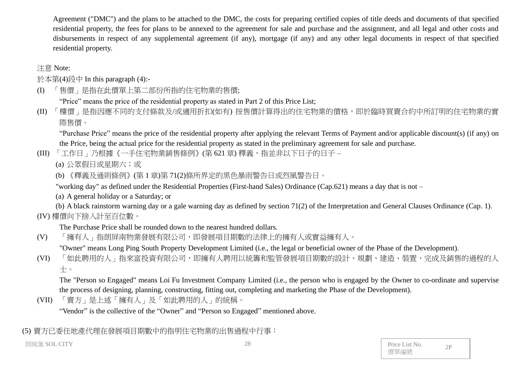Agreement ("DMC") and the plans to be attached to the DMC, the costs for preparing certified copies of title deeds and documents of that specified residential property, the fees for plans to be annexed to the agreement for sale and purchase and the assignment, and all legal and other costs and disbursements in respect of any supplemental agreement (if any), mortgage (if any) and any other legal documents in respect of that specified residential property.

# 注意 Note:

於本第(4)段中 In this paragraph (4):-

(I) 「售價」是指在此價單上第二部份所指的住宅物業的售價;

"Price" means the price of the residential property as stated in Part 2 of this Price List;

(II) 「樓價」是指因應不同的支付條款及/或適用折扣(如有) 按售價計算得出的住宅物業的價格,即於臨時買賣合約中所訂明的住宅物業的實 際售價。

"Purchase Price" means the price of the residential property after applying the relevant Terms of Payment and/or applicable discount(s) (if any) on the Price, being the actual price for the residential property as stated in the preliminary agreement for sale and purchase.

(III) 「工作日」乃根據《一手住宅物業銷售條例》(第621章) 釋義, 指並非以下日子的日子 –

(a) 公眾假日或星期六;或

(b) 《釋義及通則條例》(第 1 章)第 71(2)條所界定的黑色暴雨警告日或烈風警告日。

"working day" as defined under the Residential Properties (First-hand Sales) Ordinance (Cap.621) means a day that is not –

(a) A general holiday or a Saturday; or

(b) A black rainstorm warning day or a gale warning day as defined by section 71(2) of the Interpretation and General Clauses Ordinance (Cap. 1). (IV) 樓價向下捨入計至百位數。

The Purchase Price shall be rounded down to the nearest hundred dollars.

(V) 「擁有人」指朗屏南物業發展有限公司,即發展項目期數的法律上的擁有人或實益擁有人。

"Owner" means Long Ping South Property Development Limited (i.e., the legal or beneficial owner of the Phase of the Development).

(VI) 「如此聘用的人」指來富投資有限公司,即擁有人聘用以統籌和監管發展項目期數的設計、規劃、建造、裝置、完成及銷售的過程的人 士。

The "Person so Engaged" means Loi Fu Investment Company Limited (i.e., the person who is engaged by the Owner to co-ordinate and supervise the process of designing, planning, constructing, fitting out, completing and marketing the Phase of the Development).

(VII) 「賣方」是上述「擁有人」及「如此聘用的人」的統稱。

"Vendor" is the collective of the "Owner" and "Person so Engaged" mentioned above.

(5) 賣方已委任地產代理在發展項目期數中的指明住宅物業的出售過程中行事: